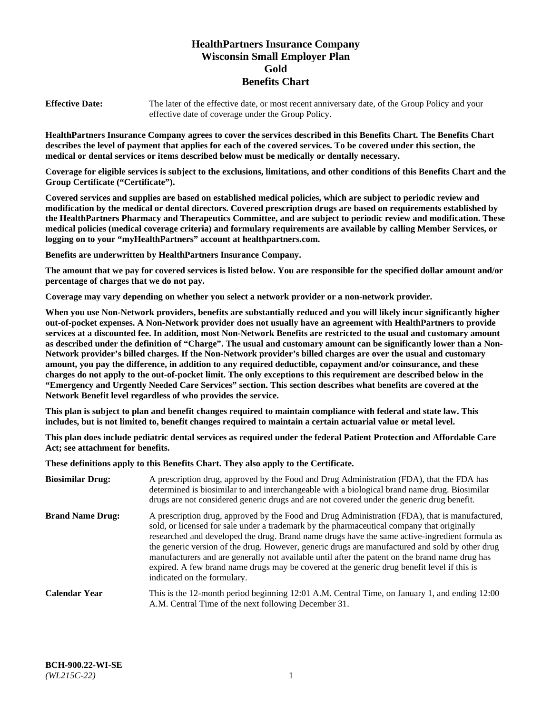# **HealthPartners Insurance Company Wisconsin Small Employer Plan Gold Benefits Chart**

**Effective Date:** The later of the effective date, or most recent anniversary date, of the Group Policy and your effective date of coverage under the Group Policy.

**HealthPartners Insurance Company agrees to cover the services described in this Benefits Chart. The Benefits Chart describes the level of payment that applies for each of the covered services. To be covered under this section, the medical or dental services or items described below must be medically or dentally necessary.**

**Coverage for eligible services is subject to the exclusions, limitations, and other conditions of this Benefits Chart and the Group Certificate ("Certificate").**

**Covered services and supplies are based on established medical policies, which are subject to periodic review and modification by the medical or dental directors. Covered prescription drugs are based on requirements established by the HealthPartners Pharmacy and Therapeutics Committee, and are subject to periodic review and modification. These medical policies (medical coverage criteria) and formulary requirements are available by calling Member Services, or logging on to your "myHealthPartners" account at [healthpartners.com.](https://www.healthpartners.com/hp/index.html)** 

**Benefits are underwritten by HealthPartners Insurance Company.**

**The amount that we pay for covered services is listed below. You are responsible for the specified dollar amount and/or percentage of charges that we do not pay.**

**Coverage may vary depending on whether you select a network provider or a non-network provider.**

**When you use Non-Network providers, benefits are substantially reduced and you will likely incur significantly higher out-of-pocket expenses. A Non-Network provider does not usually have an agreement with HealthPartners to provide services at a discounted fee. In addition, most Non-Network Benefits are restricted to the usual and customary amount as described under the definition of "Charge". The usual and customary amount can be significantly lower than a Non-Network provider's billed charges. If the Non-Network provider's billed charges are over the usual and customary amount, you pay the difference, in addition to any required deductible, copayment and/or coinsurance, and these charges do not apply to the out-of-pocket limit. The only exceptions to this requirement are described below in the "Emergency and Urgently Needed Care Services" section. This section describes what benefits are covered at the Network Benefit level regardless of who provides the service.**

**This plan is subject to plan and benefit changes required to maintain compliance with federal and state law. This includes, but is not limited to, benefit changes required to maintain a certain actuarial value or metal level.**

**This plan does include pediatric dental services as required under the federal Patient Protection and Affordable Care Act; see attachment for benefits.**

**These definitions apply to this Benefits Chart. They also apply to the Certificate.**

| <b>Biosimilar Drug:</b> | A prescription drug, approved by the Food and Drug Administration (FDA), that the FDA has<br>determined is biosimilar to and interchangeable with a biological brand name drug. Biosimilar<br>drugs are not considered generic drugs and are not covered under the generic drug benefit.                                                                                                                                                                                                                                                                                                                                           |
|-------------------------|------------------------------------------------------------------------------------------------------------------------------------------------------------------------------------------------------------------------------------------------------------------------------------------------------------------------------------------------------------------------------------------------------------------------------------------------------------------------------------------------------------------------------------------------------------------------------------------------------------------------------------|
| <b>Brand Name Drug:</b> | A prescription drug, approved by the Food and Drug Administration (FDA), that is manufactured,<br>sold, or licensed for sale under a trademark by the pharmaceutical company that originally<br>researched and developed the drug. Brand name drugs have the same active-ingredient formula as<br>the generic version of the drug. However, generic drugs are manufactured and sold by other drug<br>manufacturers and are generally not available until after the patent on the brand name drug has<br>expired. A few brand name drugs may be covered at the generic drug benefit level if this is<br>indicated on the formulary. |
| <b>Calendar Year</b>    | This is the 12-month period beginning 12:01 A.M. Central Time, on January 1, and ending 12:00<br>A.M. Central Time of the next following December 31.                                                                                                                                                                                                                                                                                                                                                                                                                                                                              |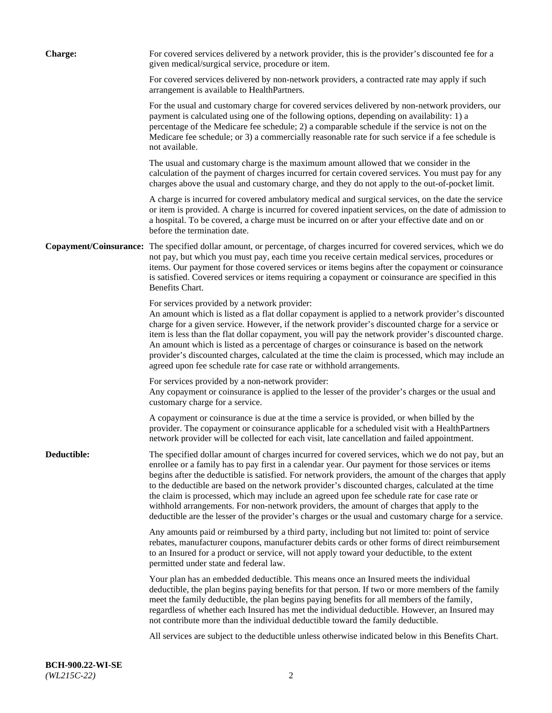| <b>Charge:</b> | For covered services delivered by a network provider, this is the provider's discounted fee for a<br>given medical/surgical service, procedure or item.                                                                                                                                                                                                                                                                                                                                                                                                                                                                                                                                                                 |
|----------------|-------------------------------------------------------------------------------------------------------------------------------------------------------------------------------------------------------------------------------------------------------------------------------------------------------------------------------------------------------------------------------------------------------------------------------------------------------------------------------------------------------------------------------------------------------------------------------------------------------------------------------------------------------------------------------------------------------------------------|
|                | For covered services delivered by non-network providers, a contracted rate may apply if such<br>arrangement is available to HealthPartners.                                                                                                                                                                                                                                                                                                                                                                                                                                                                                                                                                                             |
|                | For the usual and customary charge for covered services delivered by non-network providers, our<br>payment is calculated using one of the following options, depending on availability: 1) a<br>percentage of the Medicare fee schedule; 2) a comparable schedule if the service is not on the<br>Medicare fee schedule; or 3) a commercially reasonable rate for such service if a fee schedule is<br>not available.                                                                                                                                                                                                                                                                                                   |
|                | The usual and customary charge is the maximum amount allowed that we consider in the<br>calculation of the payment of charges incurred for certain covered services. You must pay for any<br>charges above the usual and customary charge, and they do not apply to the out-of-pocket limit.                                                                                                                                                                                                                                                                                                                                                                                                                            |
|                | A charge is incurred for covered ambulatory medical and surgical services, on the date the service<br>or item is provided. A charge is incurred for covered inpatient services, on the date of admission to<br>a hospital. To be covered, a charge must be incurred on or after your effective date and on or<br>before the termination date.                                                                                                                                                                                                                                                                                                                                                                           |
|                | Copayment/Coinsurance: The specified dollar amount, or percentage, of charges incurred for covered services, which we do<br>not pay, but which you must pay, each time you receive certain medical services, procedures or<br>items. Our payment for those covered services or items begins after the copayment or coinsurance<br>is satisfied. Covered services or items requiring a copayment or coinsurance are specified in this<br>Benefits Chart.                                                                                                                                                                                                                                                                 |
|                | For services provided by a network provider:<br>An amount which is listed as a flat dollar copayment is applied to a network provider's discounted<br>charge for a given service. However, if the network provider's discounted charge for a service or<br>item is less than the flat dollar copayment, you will pay the network provider's discounted charge.<br>An amount which is listed as a percentage of charges or coinsurance is based on the network<br>provider's discounted charges, calculated at the time the claim is processed, which may include an<br>agreed upon fee schedule rate for case rate or withhold arrangements.                                                                            |
|                | For services provided by a non-network provider:<br>Any copayment or coinsurance is applied to the lesser of the provider's charges or the usual and<br>customary charge for a service.                                                                                                                                                                                                                                                                                                                                                                                                                                                                                                                                 |
|                | A copayment or coinsurance is due at the time a service is provided, or when billed by the<br>provider. The copayment or coinsurance applicable for a scheduled visit with a HealthPartners<br>network provider will be collected for each visit, late cancellation and failed appointment.                                                                                                                                                                                                                                                                                                                                                                                                                             |
| Deductible:    | The specified dollar amount of charges incurred for covered services, which we do not pay, but an<br>enrollee or a family has to pay first in a calendar year. Our payment for those services or items<br>begins after the deductible is satisfied. For network providers, the amount of the charges that apply<br>to the deductible are based on the network provider's discounted charges, calculated at the time<br>the claim is processed, which may include an agreed upon fee schedule rate for case rate or<br>withhold arrangements. For non-network providers, the amount of charges that apply to the<br>deductible are the lesser of the provider's charges or the usual and customary charge for a service. |
|                | Any amounts paid or reimbursed by a third party, including but not limited to: point of service<br>rebates, manufacturer coupons, manufacturer debits cards or other forms of direct reimbursement<br>to an Insured for a product or service, will not apply toward your deductible, to the extent<br>permitted under state and federal law.                                                                                                                                                                                                                                                                                                                                                                            |
|                | Your plan has an embedded deductible. This means once an Insured meets the individual<br>deductible, the plan begins paying benefits for that person. If two or more members of the family<br>meet the family deductible, the plan begins paying benefits for all members of the family,<br>regardless of whether each Insured has met the individual deductible. However, an Insured may<br>not contribute more than the individual deductible toward the family deductible.                                                                                                                                                                                                                                           |
|                | All services are subject to the deductible unless otherwise indicated below in this Benefits Chart.                                                                                                                                                                                                                                                                                                                                                                                                                                                                                                                                                                                                                     |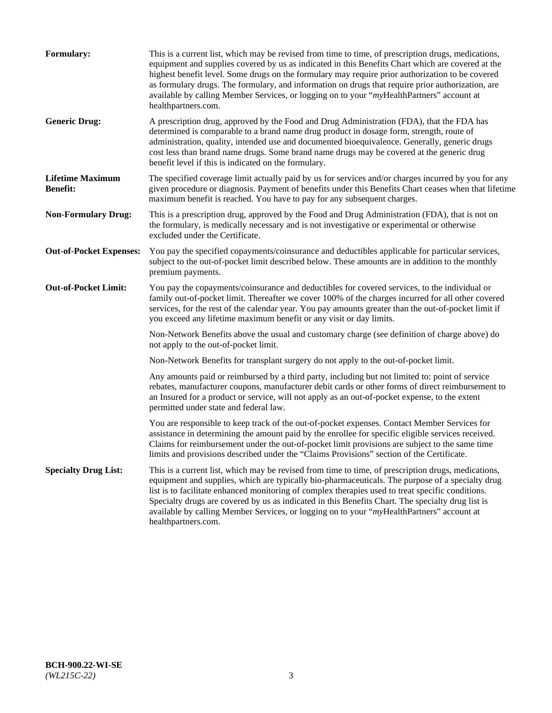| <b>Formulary:</b>                          | This is a current list, which may be revised from time to time, of prescription drugs, medications,<br>equipment and supplies covered by us as indicated in this Benefits Chart which are covered at the<br>highest benefit level. Some drugs on the formulary may require prior authorization to be covered<br>as formulary drugs. The formulary, and information on drugs that require prior authorization, are<br>available by calling Member Services, or logging on to your "myHealthPartners" account at<br>healthpartners.com. |
|--------------------------------------------|---------------------------------------------------------------------------------------------------------------------------------------------------------------------------------------------------------------------------------------------------------------------------------------------------------------------------------------------------------------------------------------------------------------------------------------------------------------------------------------------------------------------------------------|
| <b>Generic Drug:</b>                       | A prescription drug, approved by the Food and Drug Administration (FDA), that the FDA has<br>determined is comparable to a brand name drug product in dosage form, strength, route of<br>administration, quality, intended use and documented bioequivalence. Generally, generic drugs<br>cost less than brand name drugs. Some brand name drugs may be covered at the generic drug<br>benefit level if this is indicated on the formulary.                                                                                           |
| <b>Lifetime Maximum</b><br><b>Benefit:</b> | The specified coverage limit actually paid by us for services and/or charges incurred by you for any<br>given procedure or diagnosis. Payment of benefits under this Benefits Chart ceases when that lifetime<br>maximum benefit is reached. You have to pay for any subsequent charges.                                                                                                                                                                                                                                              |
| <b>Non-Formulary Drug:</b>                 | This is a prescription drug, approved by the Food and Drug Administration (FDA), that is not on<br>the formulary, is medically necessary and is not investigative or experimental or otherwise<br>excluded under the Certificate.                                                                                                                                                                                                                                                                                                     |
| <b>Out-of-Pocket Expenses:</b>             | You pay the specified copayments/coinsurance and deductibles applicable for particular services,<br>subject to the out-of-pocket limit described below. These amounts are in addition to the monthly<br>premium payments.                                                                                                                                                                                                                                                                                                             |
| <b>Out-of-Pocket Limit:</b>                | You pay the copayments/coinsurance and deductibles for covered services, to the individual or<br>family out-of-pocket limit. Thereafter we cover 100% of the charges incurred for all other covered<br>services, for the rest of the calendar year. You pay amounts greater than the out-of-pocket limit if<br>you exceed any lifetime maximum benefit or any visit or day limits.                                                                                                                                                    |
|                                            | Non-Network Benefits above the usual and customary charge (see definition of charge above) do<br>not apply to the out-of-pocket limit.                                                                                                                                                                                                                                                                                                                                                                                                |
|                                            | Non-Network Benefits for transplant surgery do not apply to the out-of-pocket limit.                                                                                                                                                                                                                                                                                                                                                                                                                                                  |
|                                            | Any amounts paid or reimbursed by a third party, including but not limited to: point of service<br>rebates, manufacturer coupons, manufacturer debit cards or other forms of direct reimbursement to<br>an Insured for a product or service, will not apply as an out-of-pocket expense, to the extent<br>permitted under state and federal law.                                                                                                                                                                                      |
|                                            | You are responsible to keep track of the out-of-pocket expenses. Contact Member Services for<br>assistance in determining the amount paid by the enrollee for specific eligible services received.<br>Claims for reimbursement under the out-of-pocket limit provisions are subject to the same time<br>limits and provisions described under the "Claims Provisions" section of the Certificate.                                                                                                                                     |
| <b>Specialty Drug List:</b>                | This is a current list, which may be revised from time to time, of prescription drugs, medications,<br>equipment and supplies, which are typically bio-pharmaceuticals. The purpose of a specialty drug<br>list is to facilitate enhanced monitoring of complex therapies used to treat specific conditions.<br>Specialty drugs are covered by us as indicated in this Benefits Chart. The specialty drug list is<br>available by calling Member Services, or logging on to your "myHealthPartners" account at<br>healthpartners.com. |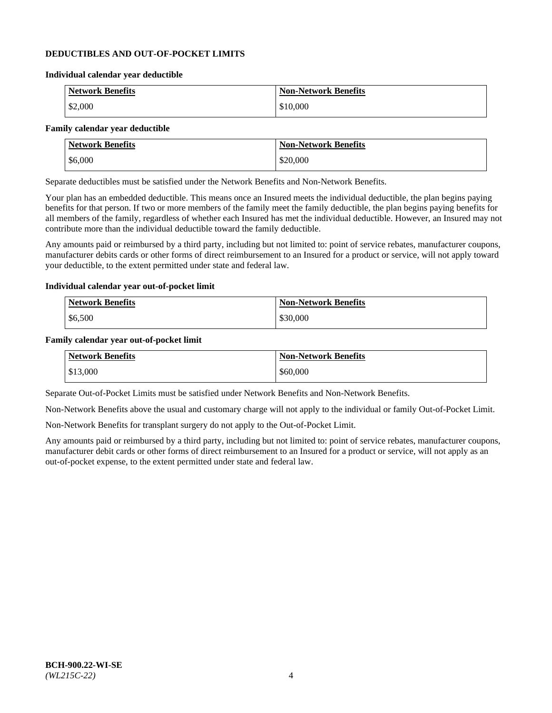### **DEDUCTIBLES AND OUT-OF-POCKET LIMITS**

#### **Individual calendar year deductible**

| <b>Network Benefits</b> | <b>Non-Network Benefits</b> |
|-------------------------|-----------------------------|
| \$2,000                 | \$10,000                    |

### **Family calendar year deductible**

| <b>Network Benefits</b> | <b>Non-Network Benefits</b> |
|-------------------------|-----------------------------|
| \$6,000                 | \$20,000                    |

Separate deductibles must be satisfied under the Network Benefits and Non-Network Benefits.

Your plan has an embedded deductible. This means once an Insured meets the individual deductible, the plan begins paying benefits for that person. If two or more members of the family meet the family deductible, the plan begins paying benefits for all members of the family, regardless of whether each Insured has met the individual deductible. However, an Insured may not contribute more than the individual deductible toward the family deductible.

Any amounts paid or reimbursed by a third party, including but not limited to: point of service rebates, manufacturer coupons, manufacturer debits cards or other forms of direct reimbursement to an Insured for a product or service, will not apply toward your deductible, to the extent permitted under state and federal law.

#### **Individual calendar year out-of-pocket limit**

| Network Benefits | <b>Non-Network Benefits</b> |
|------------------|-----------------------------|
| \$6,500          | \$30,000                    |

#### **Family calendar year out-of-pocket limit**

| <b>Network Benefits</b> | <b>Non-Network Benefits</b> |
|-------------------------|-----------------------------|
| $\frac{$13,000}{}$      | \$60,000                    |

Separate Out-of-Pocket Limits must be satisfied under Network Benefits and Non-Network Benefits.

Non-Network Benefits above the usual and customary charge will not apply to the individual or family Out-of-Pocket Limit.

Non-Network Benefits for transplant surgery do not apply to the Out-of-Pocket Limit.

Any amounts paid or reimbursed by a third party, including but not limited to: point of service rebates, manufacturer coupons, manufacturer debit cards or other forms of direct reimbursement to an Insured for a product or service, will not apply as an out-of-pocket expense, to the extent permitted under state and federal law.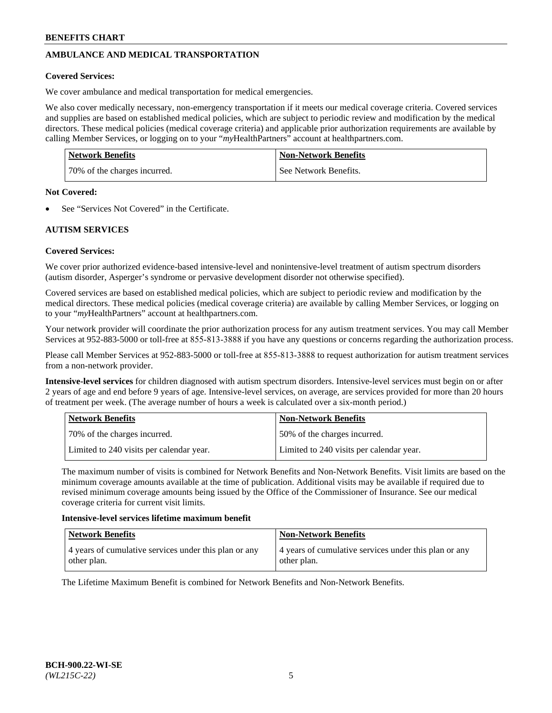## **AMBULANCE AND MEDICAL TRANSPORTATION**

### **Covered Services:**

We cover ambulance and medical transportation for medical emergencies.

We also cover medically necessary, non-emergency transportation if it meets our medical coverage criteria. Covered services and supplies are based on established medical policies, which are subject to periodic review and modification by the medical directors. These medical policies (medical coverage criteria) and applicable prior authorization requirements are available by calling Member Services, or logging on to your "*my*HealthPartners" account a[t healthpartners.com.](https://www.healthpartners.com/hp/index.html)

| <b>Network Benefits</b>      | <b>Non-Network Benefits</b> |
|------------------------------|-----------------------------|
| 70% of the charges incurred. | See Network Benefits.       |

#### **Not Covered:**

See "Services Not Covered" in the Certificate.

## **AUTISM SERVICES**

## **Covered Services:**

We cover prior authorized evidence-based intensive-level and nonintensive-level treatment of autism spectrum disorders (autism disorder, Asperger's syndrome or pervasive development disorder not otherwise specified).

Covered services are based on established medical policies, which are subject to periodic review and modification by the medical directors. These medical policies (medical coverage criteria) are available by calling Member Services, or logging on to your "*my*HealthPartners" account at [healthpartners.com.](https://www.healthpartners.com/hp/index.html)

Your network provider will coordinate the prior authorization process for any autism treatment services. You may call Member Services at 952-883-5000 or toll-free at 855-813-3888 if you have any questions or concerns regarding the authorization process.

Please call Member Services at 952-883-5000 or toll-free at 855-813-3888 to request authorization for autism treatment services from a non-network provider.

**Intensive-level services** for children diagnosed with autism spectrum disorders. Intensive-level services must begin on or after 2 years of age and end before 9 years of age. Intensive-level services, on average, are services provided for more than 20 hours of treatment per week. (The average number of hours a week is calculated over a six-month period.)

| Network Benefits                         | <b>Non-Network Benefits</b>              |
|------------------------------------------|------------------------------------------|
| 170% of the charges incurred.            | 50% of the charges incurred.             |
| Limited to 240 visits per calendar year. | Limited to 240 visits per calendar year. |

The maximum number of visits is combined for Network Benefits and Non-Network Benefits. Visit limits are based on the minimum coverage amounts available at the time of publication. Additional visits may be available if required due to revised minimum coverage amounts being issued by the Office of the Commissioner of Insurance. See our medical coverage criteria for current visit limits.

#### **Intensive-level services lifetime maximum benefit**

| <b>Network Benefits</b>                               | <b>Non-Network Benefits</b>                           |
|-------------------------------------------------------|-------------------------------------------------------|
| 4 years of cumulative services under this plan or any | 4 years of cumulative services under this plan or any |
| other plan.                                           | other plan.                                           |

The Lifetime Maximum Benefit is combined for Network Benefits and Non-Network Benefits.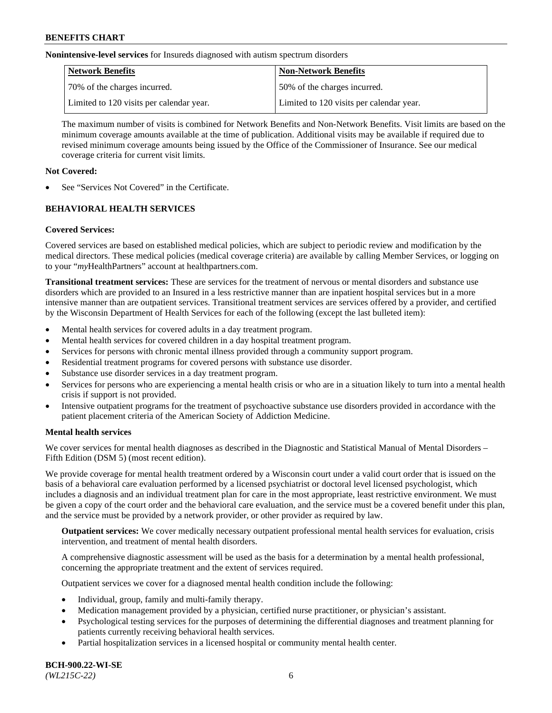**Nonintensive-level services** for Insureds diagnosed with autism spectrum disorders

| Network Benefits                         | <b>Non-Network Benefits</b>              |
|------------------------------------------|------------------------------------------|
| 70% of the charges incurred.             | 50% of the charges incurred.             |
| Limited to 120 visits per calendar year. | Limited to 120 visits per calendar year. |

The maximum number of visits is combined for Network Benefits and Non-Network Benefits. Visit limits are based on the minimum coverage amounts available at the time of publication. Additional visits may be available if required due to revised minimum coverage amounts being issued by the Office of the Commissioner of Insurance. See our medical coverage criteria for current visit limits.

## **Not Covered:**

See "Services Not Covered" in the Certificate.

## **BEHAVIORAL HEALTH SERVICES**

## **Covered Services:**

Covered services are based on established medical policies, which are subject to periodic review and modification by the medical directors. These medical policies (medical coverage criteria) are available by calling Member Services, or logging on to your "*my*HealthPartners" account at [healthpartners.com.](https://www.healthpartners.com/hp/index.html)

**Transitional treatment services:** These are services for the treatment of nervous or mental disorders and substance use disorders which are provided to an Insured in a less restrictive manner than are inpatient hospital services but in a more intensive manner than are outpatient services. Transitional treatment services are services offered by a provider, and certified by the Wisconsin Department of Health Services for each of the following (except the last bulleted item):

- Mental health services for covered adults in a day treatment program.
- Mental health services for covered children in a day hospital treatment program.
- Services for persons with chronic mental illness provided through a community support program.
- Residential treatment programs for covered persons with substance use disorder.
- Substance use disorder services in a day treatment program.
- Services for persons who are experiencing a mental health crisis or who are in a situation likely to turn into a mental health crisis if support is not provided.
- Intensive outpatient programs for the treatment of psychoactive substance use disorders provided in accordance with the patient placement criteria of the American Society of Addiction Medicine.

## **Mental health services**

We cover services for mental health diagnoses as described in the Diagnostic and Statistical Manual of Mental Disorders – Fifth Edition (DSM 5) (most recent edition).

We provide coverage for mental health treatment ordered by a Wisconsin court under a valid court order that is issued on the basis of a behavioral care evaluation performed by a licensed psychiatrist or doctoral level licensed psychologist, which includes a diagnosis and an individual treatment plan for care in the most appropriate, least restrictive environment. We must be given a copy of the court order and the behavioral care evaluation, and the service must be a covered benefit under this plan, and the service must be provided by a network provider, or other provider as required by law.

**Outpatient services:** We cover medically necessary outpatient professional mental health services for evaluation, crisis intervention, and treatment of mental health disorders.

A comprehensive diagnostic assessment will be used as the basis for a determination by a mental health professional, concerning the appropriate treatment and the extent of services required.

Outpatient services we cover for a diagnosed mental health condition include the following:

- Individual, group, family and multi-family therapy.
- Medication management provided by a physician, certified nurse practitioner, or physician's assistant.
- Psychological testing services for the purposes of determining the differential diagnoses and treatment planning for patients currently receiving behavioral health services.
- Partial hospitalization services in a licensed hospital or community mental health center.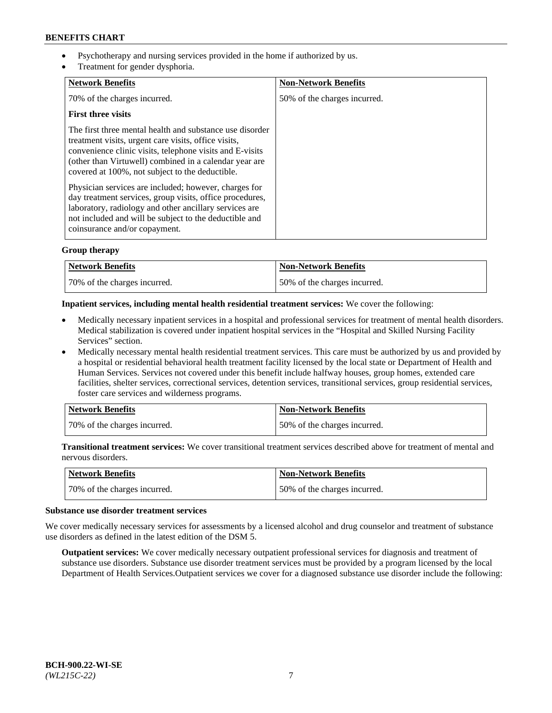- Psychotherapy and nursing services provided in the home if authorized by us.
- Treatment for gender dysphoria.

| <b>Network Benefits</b>                                                                                                                                                                                                                                                                   | <b>Non-Network Benefits</b>  |
|-------------------------------------------------------------------------------------------------------------------------------------------------------------------------------------------------------------------------------------------------------------------------------------------|------------------------------|
| 70% of the charges incurred.                                                                                                                                                                                                                                                              | 50% of the charges incurred. |
| <b>First three visits</b>                                                                                                                                                                                                                                                                 |                              |
| The first three mental health and substance use disorder<br>treatment visits, urgent care visits, office visits,<br>convenience clinic visits, telephone visits and E-visits<br>(other than Virtuwell) combined in a calendar year are<br>covered at 100%, not subject to the deductible. |                              |
| Physician services are included; however, charges for<br>day treatment services, group visits, office procedures,<br>laboratory, radiology and other ancillary services are<br>not included and will be subject to the deductible and<br>coinsurance and/or copayment.                    |                              |

## **Group therapy**

| Network Benefits             | <b>Non-Network Benefits</b>  |
|------------------------------|------------------------------|
| 70% of the charges incurred. | 50% of the charges incurred. |

### **Inpatient services, including mental health residential treatment services:** We cover the following:

- Medically necessary inpatient services in a hospital and professional services for treatment of mental health disorders. Medical stabilization is covered under inpatient hospital services in the "Hospital and Skilled Nursing Facility Services" section.
- Medically necessary mental health residential treatment services. This care must be authorized by us and provided by a hospital or residential behavioral health treatment facility licensed by the local state or Department of Health and Human Services. Services not covered under this benefit include halfway houses, group homes, extended care facilities, shelter services, correctional services, detention services, transitional services, group residential services, foster care services and wilderness programs.

| Network Benefits             | <b>Non-Network Benefits</b>  |
|------------------------------|------------------------------|
| 70% of the charges incurred. | 50% of the charges incurred. |

**Transitional treatment services:** We cover transitional treatment services described above for treatment of mental and nervous disorders.

| Network Benefits             | <b>Non-Network Benefits</b>  |
|------------------------------|------------------------------|
| 70% of the charges incurred. | 50% of the charges incurred. |

#### **Substance use disorder treatment services**

We cover medically necessary services for assessments by a licensed alcohol and drug counselor and treatment of substance use disorders as defined in the latest edition of the DSM 5.

**Outpatient services:** We cover medically necessary outpatient professional services for diagnosis and treatment of substance use disorders. Substance use disorder treatment services must be provided by a program licensed by the local Department of Health Services.Outpatient services we cover for a diagnosed substance use disorder include the following: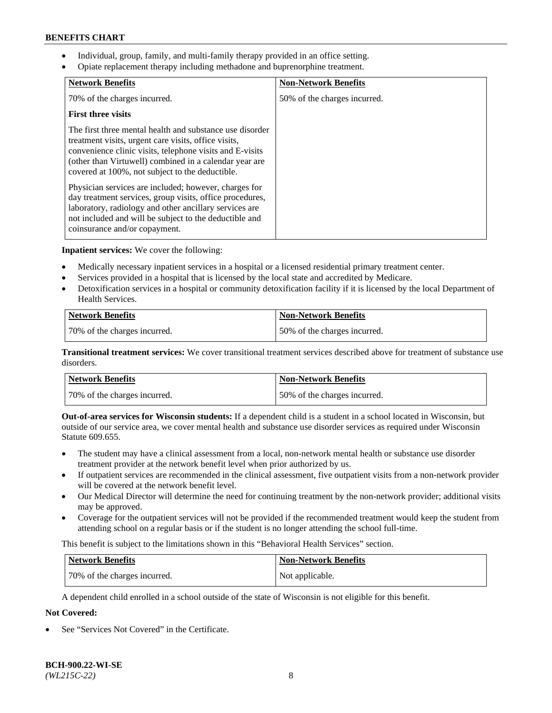- Individual, group, family, and multi-family therapy provided in an office setting.
- Opiate replacement therapy including methadone and buprenorphine treatment.

| <b>Network Benefits</b>                                                                                                                                                                                                                                                                   | <b>Non-Network Benefits</b>  |
|-------------------------------------------------------------------------------------------------------------------------------------------------------------------------------------------------------------------------------------------------------------------------------------------|------------------------------|
| 70% of the charges incurred.                                                                                                                                                                                                                                                              | 50% of the charges incurred. |
| <b>First three visits</b>                                                                                                                                                                                                                                                                 |                              |
| The first three mental health and substance use disorder<br>treatment visits, urgent care visits, office visits,<br>convenience clinic visits, telephone visits and E-visits<br>(other than Virtuwell) combined in a calendar year are<br>covered at 100%, not subject to the deductible. |                              |
| Physician services are included; however, charges for<br>day treatment services, group visits, office procedures,<br>laboratory, radiology and other ancillary services are<br>not included and will be subject to the deductible and<br>coinsurance and/or copayment.                    |                              |

**Inpatient services:** We cover the following:

- Medically necessary inpatient services in a hospital or a licensed residential primary treatment center.
- Services provided in a hospital that is licensed by the local state and accredited by Medicare.
- Detoxification services in a hospital or community detoxification facility if it is licensed by the local Department of Health Services.

| <b>Network Benefits</b>      | <b>Non-Network Benefits</b>  |
|------------------------------|------------------------------|
| 70% of the charges incurred. | 50% of the charges incurred. |

**Transitional treatment services:** We cover transitional treatment services described above for treatment of substance use disorders.

| Network Benefits             | <b>Non-Network Benefits</b>  |
|------------------------------|------------------------------|
| 70% of the charges incurred. | 50% of the charges incurred. |

**Out-of-area services for Wisconsin students:** If a dependent child is a student in a school located in Wisconsin, but outside of our service area, we cover mental health and substance use disorder services as required under Wisconsin Statute 609.655.

- The student may have a clinical assessment from a local, non-network mental health or substance use disorder treatment provider at the network benefit level when prior authorized by us.
- If outpatient services are recommended in the clinical assessment, five outpatient visits from a non-network provider will be covered at the network benefit level.
- Our Medical Director will determine the need for continuing treatment by the non-network provider; additional visits may be approved.
- Coverage for the outpatient services will not be provided if the recommended treatment would keep the student from attending school on a regular basis or if the student is no longer attending the school full-time.

This benefit is subject to the limitations shown in this "Behavioral Health Services" section.

| Network Benefits             | <b>Non-Network Benefits</b> |
|------------------------------|-----------------------------|
| 70% of the charges incurred. | Not applicable.             |

A dependent child enrolled in a school outside of the state of Wisconsin is not eligible for this benefit.

# **Not Covered:**

See "Services Not Covered" in the Certificate.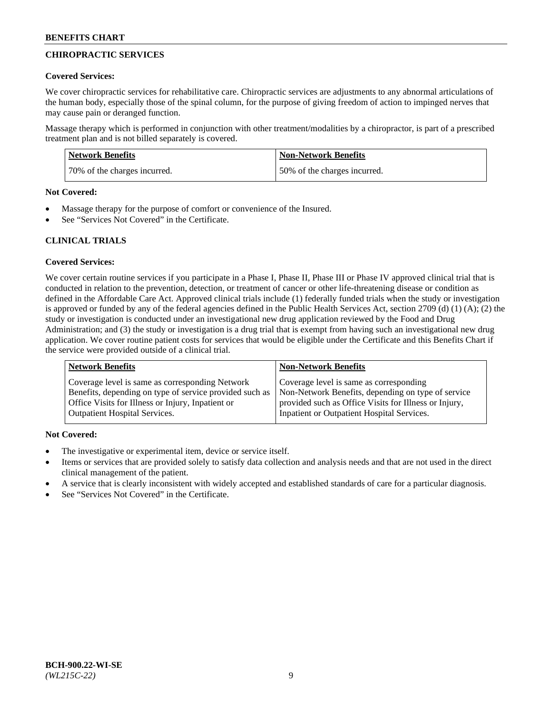## **CHIROPRACTIC SERVICES**

### **Covered Services:**

We cover chiropractic services for rehabilitative care. Chiropractic services are adjustments to any abnormal articulations of the human body, especially those of the spinal column, for the purpose of giving freedom of action to impinged nerves that may cause pain or deranged function.

Massage therapy which is performed in conjunction with other treatment/modalities by a chiropractor, is part of a prescribed treatment plan and is not billed separately is covered.

| <b>Network Benefits</b>      | Non-Network Benefits         |
|------------------------------|------------------------------|
| 70% of the charges incurred. | 50% of the charges incurred. |

#### **Not Covered:**

- Massage therapy for the purpose of comfort or convenience of the Insured.
- See "Services Not Covered" in the Certificate.

## **CLINICAL TRIALS**

## **Covered Services:**

We cover certain routine services if you participate in a Phase I, Phase II, Phase III or Phase IV approved clinical trial that is conducted in relation to the prevention, detection, or treatment of cancer or other life-threatening disease or condition as defined in the Affordable Care Act. Approved clinical trials include (1) federally funded trials when the study or investigation is approved or funded by any of the federal agencies defined in the Public Health Services Act, section 2709 (d) (1) (A); (2) the study or investigation is conducted under an investigational new drug application reviewed by the Food and Drug Administration; and (3) the study or investigation is a drug trial that is exempt from having such an investigational new drug application. We cover routine patient costs for services that would be eligible under the Certificate and this Benefits Chart if the service were provided outside of a clinical trial.

| <b>Network Benefits</b>                                 | <b>Non-Network Benefits</b>                           |
|---------------------------------------------------------|-------------------------------------------------------|
| Coverage level is same as corresponding Network         | Coverage level is same as corresponding               |
| Benefits, depending on type of service provided such as | Non-Network Benefits, depending on type of service    |
| Office Visits for Illness or Injury, Inpatient or       | provided such as Office Visits for Illness or Injury, |
| <b>Outpatient Hospital Services.</b>                    | Inpatient or Outpatient Hospital Services.            |

## **Not Covered:**

- The investigative or experimental item, device or service itself.
- Items or services that are provided solely to satisfy data collection and analysis needs and that are not used in the direct clinical management of the patient.
- A service that is clearly inconsistent with widely accepted and established standards of care for a particular diagnosis.
- See "Services Not Covered" in the Certificate.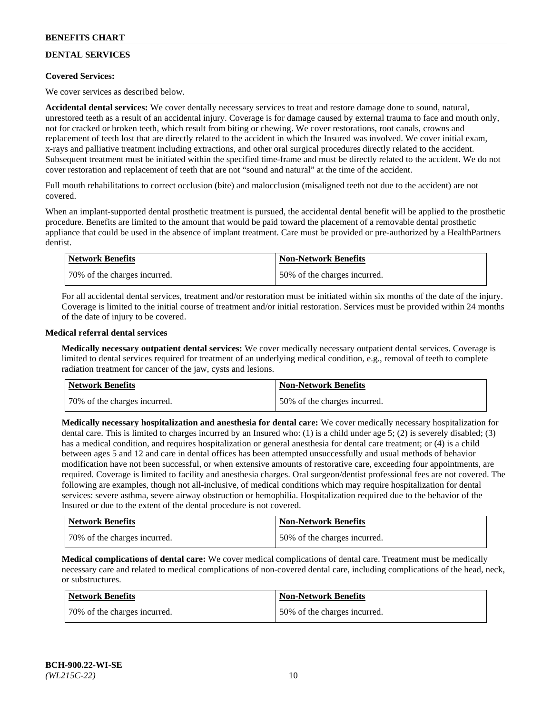## **DENTAL SERVICES**

## **Covered Services:**

We cover services as described below.

**Accidental dental services:** We cover dentally necessary services to treat and restore damage done to sound, natural, unrestored teeth as a result of an accidental injury. Coverage is for damage caused by external trauma to face and mouth only, not for cracked or broken teeth, which result from biting or chewing. We cover restorations, root canals, crowns and replacement of teeth lost that are directly related to the accident in which the Insured was involved. We cover initial exam, x-rays and palliative treatment including extractions, and other oral surgical procedures directly related to the accident. Subsequent treatment must be initiated within the specified time-frame and must be directly related to the accident. We do not cover restoration and replacement of teeth that are not "sound and natural" at the time of the accident.

Full mouth rehabilitations to correct occlusion (bite) and malocclusion (misaligned teeth not due to the accident) are not covered.

When an implant-supported dental prosthetic treatment is pursued, the accidental dental benefit will be applied to the prosthetic procedure. Benefits are limited to the amount that would be paid toward the placement of a removable dental prosthetic appliance that could be used in the absence of implant treatment. Care must be provided or pre-authorized by a HealthPartners dentist.

| Network Benefits             | <b>Non-Network Benefits</b>  |
|------------------------------|------------------------------|
| 70% of the charges incurred. | 50% of the charges incurred. |

For all accidental dental services, treatment and/or restoration must be initiated within six months of the date of the injury. Coverage is limited to the initial course of treatment and/or initial restoration. Services must be provided within 24 months of the date of injury to be covered.

### **Medical referral dental services**

**Medically necessary outpatient dental services:** We cover medically necessary outpatient dental services. Coverage is limited to dental services required for treatment of an underlying medical condition, e.g., removal of teeth to complete radiation treatment for cancer of the jaw, cysts and lesions.

| Network Benefits             | <b>Non-Network Benefits</b>  |
|------------------------------|------------------------------|
| 70% of the charges incurred. | 50% of the charges incurred. |

**Medically necessary hospitalization and anesthesia for dental care:** We cover medically necessary hospitalization for dental care. This is limited to charges incurred by an Insured who: (1) is a child under age  $5$ ; (2) is severely disabled; (3) has a medical condition, and requires hospitalization or general anesthesia for dental care treatment; or (4) is a child between ages 5 and 12 and care in dental offices has been attempted unsuccessfully and usual methods of behavior modification have not been successful, or when extensive amounts of restorative care, exceeding four appointments, are required. Coverage is limited to facility and anesthesia charges. Oral surgeon/dentist professional fees are not covered. The following are examples, though not all-inclusive, of medical conditions which may require hospitalization for dental services: severe asthma, severe airway obstruction or hemophilia. Hospitalization required due to the behavior of the Insured or due to the extent of the dental procedure is not covered.

| Network Benefits             | <b>Non-Network Benefits</b>  |
|------------------------------|------------------------------|
| 70% of the charges incurred. | 50% of the charges incurred. |

**Medical complications of dental care:** We cover medical complications of dental care. Treatment must be medically necessary care and related to medical complications of non-covered dental care, including complications of the head, neck, or substructures.

| Network Benefits             | <b>Non-Network Benefits</b>  |
|------------------------------|------------------------------|
| 70% of the charges incurred. | 50% of the charges incurred. |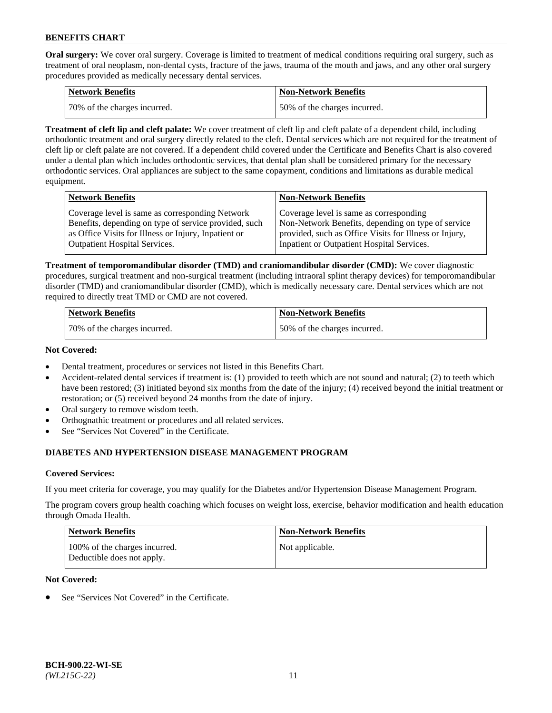**Oral surgery:** We cover oral surgery. Coverage is limited to treatment of medical conditions requiring oral surgery, such as treatment of oral neoplasm, non-dental cysts, fracture of the jaws, trauma of the mouth and jaws, and any other oral surgery procedures provided as medically necessary dental services.

| <b>Network Benefits</b>      | <b>Non-Network Benefits</b>  |
|------------------------------|------------------------------|
| 70% of the charges incurred. | 50% of the charges incurred. |

**Treatment of cleft lip and cleft palate:** We cover treatment of cleft lip and cleft palate of a dependent child, including orthodontic treatment and oral surgery directly related to the cleft. Dental services which are not required for the treatment of cleft lip or cleft palate are not covered. If a dependent child covered under the Certificate and Benefits Chart is also covered under a dental plan which includes orthodontic services, that dental plan shall be considered primary for the necessary orthodontic services. Oral appliances are subject to the same copayment, conditions and limitations as durable medical equipment.

| <b>Network Benefits</b>                               | <b>Non-Network Benefits</b>                            |
|-------------------------------------------------------|--------------------------------------------------------|
| Coverage level is same as corresponding Network       | Coverage level is same as corresponding                |
| Benefits, depending on type of service provided, such | Non-Network Benefits, depending on type of service     |
| as Office Visits for Illness or Injury, Inpatient or  | provided, such as Office Visits for Illness or Injury, |
| <b>Outpatient Hospital Services.</b>                  | Inpatient or Outpatient Hospital Services.             |

**Treatment of temporomandibular disorder (TMD) and craniomandibular disorder (CMD):** We cover diagnostic procedures, surgical treatment and non-surgical treatment (including intraoral splint therapy devices) for temporomandibular disorder (TMD) and craniomandibular disorder (CMD), which is medically necessary care. Dental services which are not required to directly treat TMD or CMD are not covered.

| <b>Network Benefits</b>      | <b>Non-Network Benefits</b>  |
|------------------------------|------------------------------|
| 70% of the charges incurred. | 50% of the charges incurred. |

### **Not Covered:**

- Dental treatment, procedures or services not listed in this Benefits Chart.
- Accident-related dental services if treatment is: (1) provided to teeth which are not sound and natural; (2) to teeth which have been restored; (3) initiated beyond six months from the date of the injury; (4) received beyond the initial treatment or restoration; or (5) received beyond 24 months from the date of injury.
- Oral surgery to remove wisdom teeth.
- Orthognathic treatment or procedures and all related services.
- See "Services Not Covered" in the Certificate.

## **DIABETES AND HYPERTENSION DISEASE MANAGEMENT PROGRAM**

## **Covered Services:**

If you meet criteria for coverage, you may qualify for the Diabetes and/or Hypertension Disease Management Program.

The program covers group health coaching which focuses on weight loss, exercise, behavior modification and health education through Omada Health.

| <b>Network Benefits</b>                                     | <b>Non-Network Benefits</b> |
|-------------------------------------------------------------|-----------------------------|
| 100% of the charges incurred.<br>Deductible does not apply. | Not applicable.             |

## **Not Covered:**

See "Services Not Covered" in the Certificate.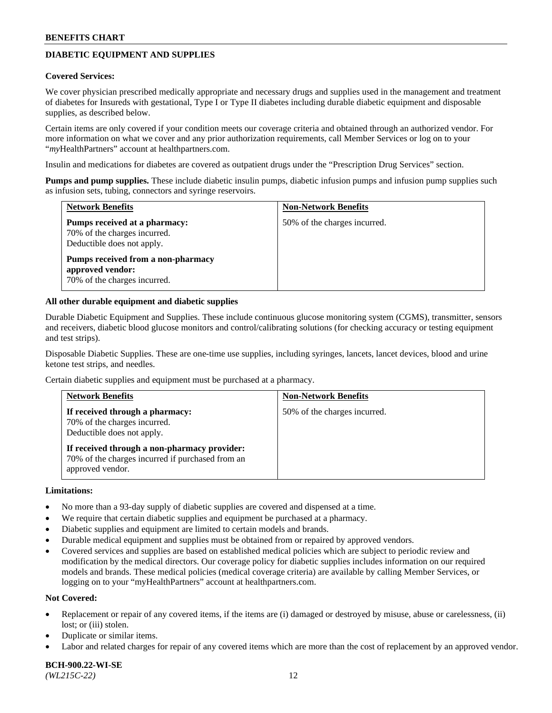## **DIABETIC EQUIPMENT AND SUPPLIES**

#### **Covered Services:**

We cover physician prescribed medically appropriate and necessary drugs and supplies used in the management and treatment of diabetes for Insureds with gestational, Type I or Type II diabetes including durable diabetic equipment and disposable supplies, as described below.

Certain items are only covered if your condition meets our coverage criteria and obtained through an authorized vendor. For more information on what we cover and any prior authorization requirements, call Member Services or log on to your "*my*HealthPartners" account at [healthpartners.com.](http://www.healthpartners.com/)

Insulin and medications for diabetes are covered as outpatient drugs under the "Prescription Drug Services" section.

**Pumps and pump supplies.** These include diabetic insulin pumps, diabetic infusion pumps and infusion pump supplies such as infusion sets, tubing, connectors and syringe reservoirs.

| <b>Network Benefits</b>                                                                     | <b>Non-Network Benefits</b>  |
|---------------------------------------------------------------------------------------------|------------------------------|
| Pumps received at a pharmacy:<br>70% of the charges incurred.<br>Deductible does not apply. | 50% of the charges incurred. |
| Pumps received from a non-pharmacy<br>approved vendor:<br>70% of the charges incurred.      |                              |

### **All other durable equipment and diabetic supplies**

Durable Diabetic Equipment and Supplies. These include continuous glucose monitoring system (CGMS), transmitter, sensors and receivers, diabetic blood glucose monitors and control/calibrating solutions (for checking accuracy or testing equipment and test strips).

Disposable Diabetic Supplies. These are one-time use supplies, including syringes, lancets, lancet devices, blood and urine ketone test strips, and needles.

Certain diabetic supplies and equipment must be purchased at a pharmacy.

| <b>Network Benefits</b>                                                                                              | <b>Non-Network Benefits</b>  |
|----------------------------------------------------------------------------------------------------------------------|------------------------------|
| If received through a pharmacy:<br>70% of the charges incurred.<br>Deductible does not apply.                        | 50% of the charges incurred. |
| If received through a non-pharmacy provider:<br>70% of the charges incurred if purchased from an<br>approved vendor. |                              |

### **Limitations:**

- No more than a 93-day supply of diabetic supplies are covered and dispensed at a time.
- We require that certain diabetic supplies and equipment be purchased at a pharmacy.
- Diabetic supplies and equipment are limited to certain models and brands.
- Durable medical equipment and supplies must be obtained from or repaired by approved vendors.
- Covered services and supplies are based on established medical policies which are subject to periodic review and modification by the medical directors. Our coverage policy for diabetic supplies includes information on our required models and brands. These medical policies (medical coverage criteria) are available by calling Member Services, or logging on to your "myHealthPartners" account at [healthpartners.com.](http://www.healthpartners.com/)

### **Not Covered:**

- Replacement or repair of any covered items, if the items are (i) damaged or destroyed by misuse, abuse or carelessness, (ii) lost; or (iii) stolen.
- Duplicate or similar items.
- Labor and related charges for repair of any covered items which are more than the cost of replacement by an approved vendor.

**BCH-900.22-WI-SE**  *(WL215C-22)* 12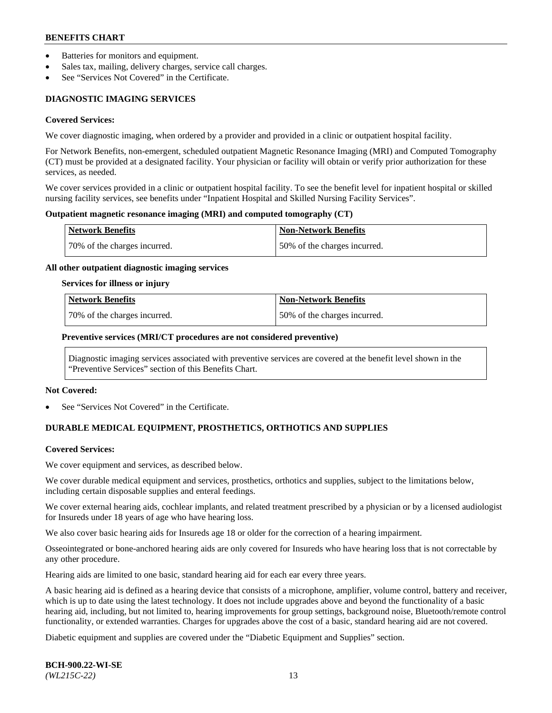- Batteries for monitors and equipment.
- Sales tax, mailing, delivery charges, service call charges.
- See "Services Not Covered" in the Certificate.

## **DIAGNOSTIC IMAGING SERVICES**

#### **Covered Services:**

We cover diagnostic imaging, when ordered by a provider and provided in a clinic or outpatient hospital facility.

For Network Benefits, non-emergent, scheduled outpatient Magnetic Resonance Imaging (MRI) and Computed Tomography (CT) must be provided at a designated facility. Your physician or facility will obtain or verify prior authorization for these services, as needed.

We cover services provided in a clinic or outpatient hospital facility. To see the benefit level for inpatient hospital or skilled nursing facility services, see benefits under "Inpatient Hospital and Skilled Nursing Facility Services".

### **Outpatient magnetic resonance imaging (MRI) and computed tomography (CT)**

| <b>Network Benefits</b>      | <b>Non-Network Benefits</b>   |
|------------------------------|-------------------------------|
| 70% of the charges incurred. | 150% of the charges incurred. |

### **All other outpatient diagnostic imaging services**

#### **Services for illness or injury**

| Network Benefits             | <b>Non-Network Benefits</b>  |
|------------------------------|------------------------------|
| 70% of the charges incurred. | 50% of the charges incurred. |

### **Preventive services (MRI/CT procedures are not considered preventive)**

Diagnostic imaging services associated with preventive services are covered at the benefit level shown in the "Preventive Services" section of this Benefits Chart.

#### **Not Covered:**

See "Services Not Covered" in the Certificate.

## **DURABLE MEDICAL EQUIPMENT, PROSTHETICS, ORTHOTICS AND SUPPLIES**

#### **Covered Services:**

We cover equipment and services, as described below.

We cover durable medical equipment and services, prosthetics, orthotics and supplies, subject to the limitations below, including certain disposable supplies and enteral feedings.

We cover external hearing aids, cochlear implants, and related treatment prescribed by a physician or by a licensed audiologist for Insureds under 18 years of age who have hearing loss.

We also cover basic hearing aids for Insureds age 18 or older for the correction of a hearing impairment.

Osseointegrated or bone-anchored hearing aids are only covered for Insureds who have hearing loss that is not correctable by any other procedure.

Hearing aids are limited to one basic, standard hearing aid for each ear every three years.

A basic hearing aid is defined as a hearing device that consists of a microphone, amplifier, volume control, battery and receiver, which is up to date using the latest technology. It does not include upgrades above and beyond the functionality of a basic hearing aid, including, but not limited to, hearing improvements for group settings, background noise, Bluetooth/remote control functionality, or extended warranties. Charges for upgrades above the cost of a basic, standard hearing aid are not covered.

Diabetic equipment and supplies are covered under the "Diabetic Equipment and Supplies" section.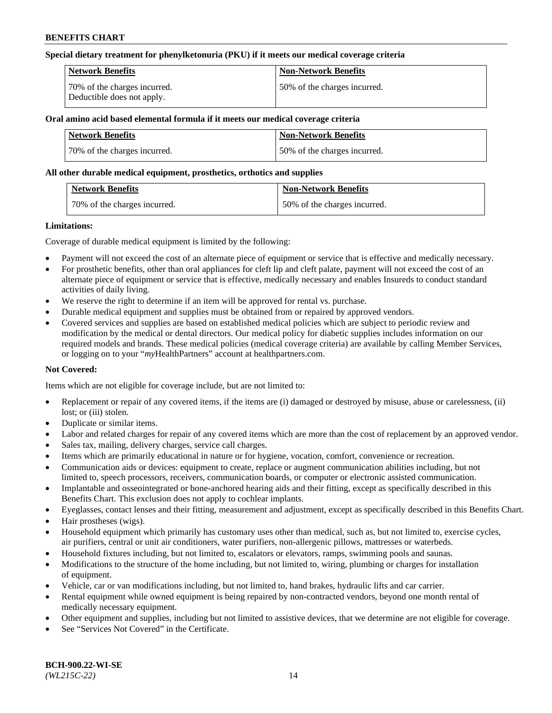### **Special dietary treatment for phenylketonuria (PKU) if it meets our medical coverage criteria**

| Network Benefits                                           | <b>Non-Network Benefits</b>   |
|------------------------------------------------------------|-------------------------------|
| 70% of the charges incurred.<br>Deductible does not apply. | 150% of the charges incurred. |

## **Oral amino acid based elemental formula if it meets our medical coverage criteria**

| Network Benefits             | <b>Non-Network Benefits</b>  |
|------------------------------|------------------------------|
| 70% of the charges incurred. | 50% of the charges incurred. |

#### **All other durable medical equipment, prosthetics, orthotics and supplies**

| <b>Network Benefits</b>      | <b>Non-Network Benefits</b>  |
|------------------------------|------------------------------|
| 70% of the charges incurred. | 50% of the charges incurred. |

### **Limitations:**

Coverage of durable medical equipment is limited by the following:

- Payment will not exceed the cost of an alternate piece of equipment or service that is effective and medically necessary.
- For prosthetic benefits, other than oral appliances for cleft lip and cleft palate, payment will not exceed the cost of an alternate piece of equipment or service that is effective, medically necessary and enables Insureds to conduct standard activities of daily living.
- We reserve the right to determine if an item will be approved for rental vs. purchase.
- Durable medical equipment and supplies must be obtained from or repaired by approved vendors.
- Covered services and supplies are based on established medical policies which are subject to periodic review and modification by the medical or dental directors. Our medical policy for diabetic supplies includes information on our required models and brands. These medical policies (medical coverage criteria) are available by calling Member Services, or logging on to your "*my*HealthPartners" account a[t healthpartners.com.](http://www.healthpartners.com/)

## **Not Covered:**

Items which are not eligible for coverage include, but are not limited to:

- Replacement or repair of any covered items, if the items are (i) damaged or destroyed by misuse, abuse or carelessness, (ii) lost; or (iii) stolen.
- Duplicate or similar items.
- Labor and related charges for repair of any covered items which are more than the cost of replacement by an approved vendor.
- Sales tax, mailing, delivery charges, service call charges.
- Items which are primarily educational in nature or for hygiene, vocation, comfort, convenience or recreation.
- Communication aids or devices: equipment to create, replace or augment communication abilities including, but not limited to, speech processors, receivers, communication boards, or computer or electronic assisted communication.
- Implantable and osseointegrated or bone-anchored hearing aids and their fitting, except as specifically described in this Benefits Chart. This exclusion does not apply to cochlear implants.
- Eyeglasses, contact lenses and their fitting, measurement and adjustment, except as specifically described in this Benefits Chart.
- Hair prostheses (wigs).
- Household equipment which primarily has customary uses other than medical, such as, but not limited to, exercise cycles, air purifiers, central or unit air conditioners, water purifiers, non-allergenic pillows, mattresses or waterbeds.
- Household fixtures including, but not limited to, escalators or elevators, ramps, swimming pools and saunas.
- Modifications to the structure of the home including, but not limited to, wiring, plumbing or charges for installation of equipment.
- Vehicle, car or van modifications including, but not limited to, hand brakes, hydraulic lifts and car carrier.
- Rental equipment while owned equipment is being repaired by non-contracted vendors, beyond one month rental of medically necessary equipment.
- Other equipment and supplies, including but not limited to assistive devices, that we determine are not eligible for coverage.
- See "Services Not Covered" in the Certificate.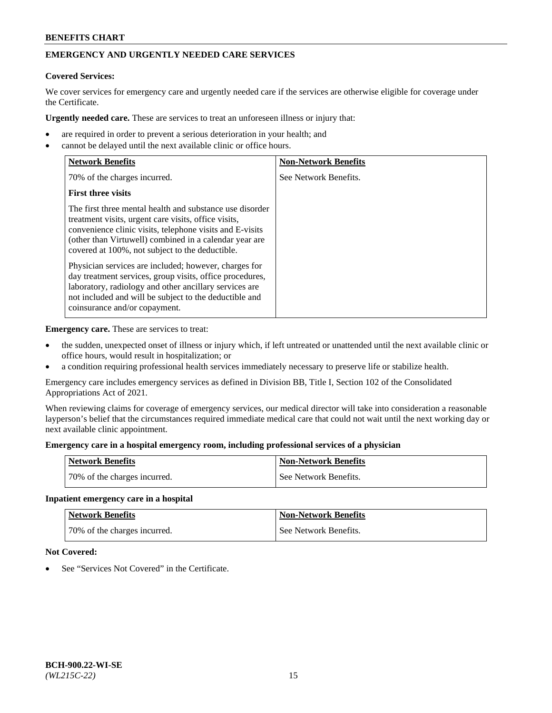# **EMERGENCY AND URGENTLY NEEDED CARE SERVICES**

## **Covered Services:**

We cover services for emergency care and urgently needed care if the services are otherwise eligible for coverage under the Certificate.

**Urgently needed care.** These are services to treat an unforeseen illness or injury that:

- are required in order to prevent a serious deterioration in your health; and
- cannot be delayed until the next available clinic or office hours.

| <b>Network Benefits</b>                                                                                                                                                                                                                                                                   | <b>Non-Network Benefits</b> |
|-------------------------------------------------------------------------------------------------------------------------------------------------------------------------------------------------------------------------------------------------------------------------------------------|-----------------------------|
| 70% of the charges incurred.                                                                                                                                                                                                                                                              | See Network Benefits.       |
| <b>First three visits</b>                                                                                                                                                                                                                                                                 |                             |
| The first three mental health and substance use disorder<br>treatment visits, urgent care visits, office visits,<br>convenience clinic visits, telephone visits and E-visits<br>(other than Virtuwell) combined in a calendar year are<br>covered at 100%, not subject to the deductible. |                             |
| Physician services are included; however, charges for<br>day treatment services, group visits, office procedures,<br>laboratory, radiology and other ancillary services are<br>not included and will be subject to the deductible and<br>coinsurance and/or copayment.                    |                             |

**Emergency care.** These are services to treat:

- the sudden, unexpected onset of illness or injury which, if left untreated or unattended until the next available clinic or office hours, would result in hospitalization; or
- a condition requiring professional health services immediately necessary to preserve life or stabilize health.

Emergency care includes emergency services as defined in Division BB, Title I, Section 102 of the Consolidated Appropriations Act of 2021.

When reviewing claims for coverage of emergency services, our medical director will take into consideration a reasonable layperson's belief that the circumstances required immediate medical care that could not wait until the next working day or next available clinic appointment.

### **Emergency care in a hospital emergency room, including professional services of a physician**

| <b>Network Benefits</b>      | <b>Non-Network Benefits</b> |
|------------------------------|-----------------------------|
| 70% of the charges incurred. | See Network Benefits.       |

#### **Inpatient emergency care in a hospital**

| <b>Network Benefits</b>      | Non-Network Benefits  |
|------------------------------|-----------------------|
| 70% of the charges incurred. | See Network Benefits. |

## **Not Covered:**

See "Services Not Covered" in the Certificate.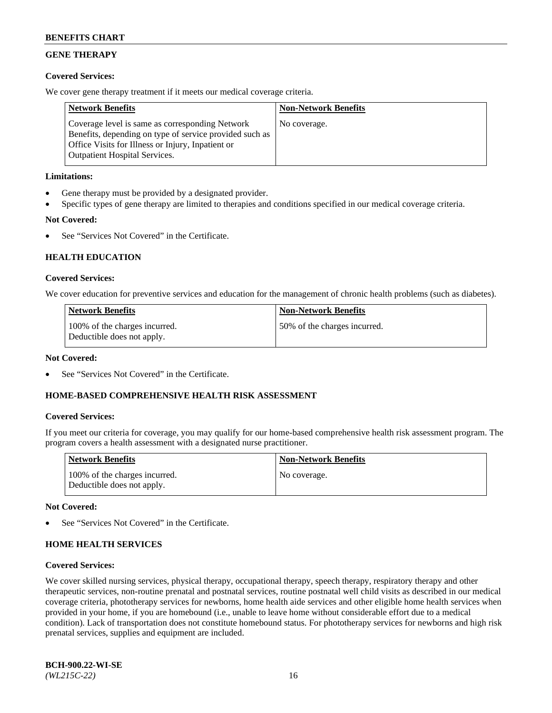## **GENE THERAPY**

## **Covered Services:**

We cover gene therapy treatment if it meets our medical coverage criteria.

| <b>Network Benefits</b>                                                                                                                                                                                 | <b>Non-Network Benefits</b> |
|---------------------------------------------------------------------------------------------------------------------------------------------------------------------------------------------------------|-----------------------------|
| Coverage level is same as corresponding Network<br>Benefits, depending on type of service provided such as<br>Office Visits for Illness or Injury, Inpatient or<br><b>Outpatient Hospital Services.</b> | No coverage.                |

## **Limitations:**

- Gene therapy must be provided by a designated provider.
- Specific types of gene therapy are limited to therapies and conditions specified in our medical coverage criteria.

## **Not Covered:**

See "Services Not Covered" in the Certificate.

## **HEALTH EDUCATION**

### **Covered Services:**

We cover education for preventive services and education for the management of chronic health problems (such as diabetes).

| <b>Network Benefits</b>                                     | <b>Non-Network Benefits</b>  |
|-------------------------------------------------------------|------------------------------|
| 100% of the charges incurred.<br>Deductible does not apply. | 50% of the charges incurred. |

#### **Not Covered:**

See "Services Not Covered" in the Certificate.

## **HOME-BASED COMPREHENSIVE HEALTH RISK ASSESSMENT**

#### **Covered Services:**

If you meet our criteria for coverage, you may qualify for our home-based comprehensive health risk assessment program. The program covers a health assessment with a designated nurse practitioner.

| <b>Network Benefits</b>                                     | <b>Non-Network Benefits</b> |
|-------------------------------------------------------------|-----------------------------|
| 100% of the charges incurred.<br>Deductible does not apply. | No coverage.                |

#### **Not Covered:**

See "Services Not Covered" in the Certificate.

## **HOME HEALTH SERVICES**

#### **Covered Services:**

We cover skilled nursing services, physical therapy, occupational therapy, speech therapy, respiratory therapy and other therapeutic services, non-routine prenatal and postnatal services, routine postnatal well child visits as described in our medical coverage criteria, phototherapy services for newborns, home health aide services and other eligible home health services when provided in your home, if you are homebound (i.e., unable to leave home without considerable effort due to a medical condition). Lack of transportation does not constitute homebound status. For phototherapy services for newborns and high risk prenatal services, supplies and equipment are included.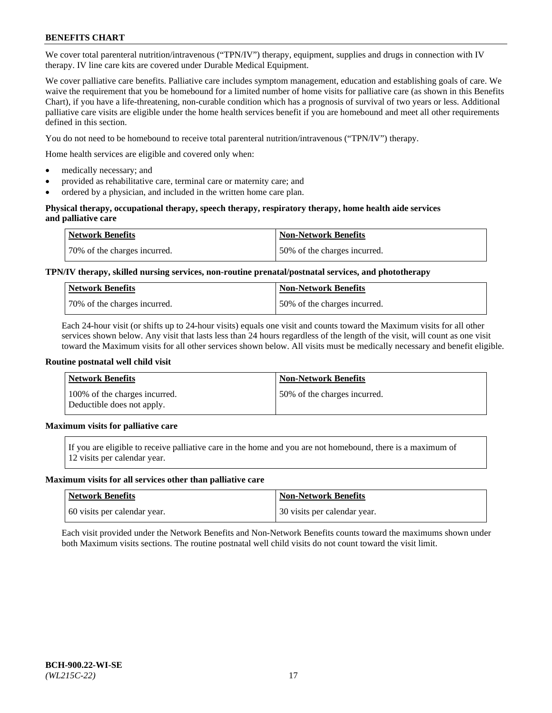We cover total parenteral nutrition/intravenous ("TPN/IV") therapy, equipment, supplies and drugs in connection with IV therapy. IV line care kits are covered under Durable Medical Equipment.

We cover palliative care benefits. Palliative care includes symptom management, education and establishing goals of care. We waive the requirement that you be homebound for a limited number of home visits for palliative care (as shown in this Benefits Chart), if you have a life-threatening, non-curable condition which has a prognosis of survival of two years or less. Additional palliative care visits are eligible under the home health services benefit if you are homebound and meet all other requirements defined in this section.

You do not need to be homebound to receive total parenteral nutrition/intravenous ("TPN/IV") therapy.

Home health services are eligible and covered only when:

- medically necessary; and
- provided as rehabilitative care, terminal care or maternity care; and
- ordered by a physician, and included in the written home care plan.

### **Physical therapy, occupational therapy, speech therapy, respiratory therapy, home health aide services and palliative care**

| <b>Network Benefits</b>      | <b>Non-Network Benefits</b>  |
|------------------------------|------------------------------|
| 70% of the charges incurred. | 50% of the charges incurred. |

## **TPN/IV therapy, skilled nursing services, non-routine prenatal/postnatal services, and phototherapy**

| <b>Network Benefits</b>       | Non-Network Benefits         |
|-------------------------------|------------------------------|
| 170% of the charges incurred. | 50% of the charges incurred. |

Each 24-hour visit (or shifts up to 24-hour visits) equals one visit and counts toward the Maximum visits for all other services shown below. Any visit that lasts less than 24 hours regardless of the length of the visit, will count as one visit toward the Maximum visits for all other services shown below. All visits must be medically necessary and benefit eligible.

#### **Routine postnatal well child visit**

| <b>Network Benefits</b>                                     | <b>Non-Network Benefits</b>  |
|-------------------------------------------------------------|------------------------------|
| 100% of the charges incurred.<br>Deductible does not apply. | 50% of the charges incurred. |

## **Maximum visits for palliative care**

If you are eligible to receive palliative care in the home and you are not homebound, there is a maximum of 12 visits per calendar year.

#### **Maximum visits for all services other than palliative care**

| Network Benefits             | <b>Non-Network Benefits</b>  |
|------------------------------|------------------------------|
| 60 visits per calendar year. | 30 visits per calendar year. |

Each visit provided under the Network Benefits and Non-Network Benefits counts toward the maximums shown under both Maximum visits sections. The routine postnatal well child visits do not count toward the visit limit.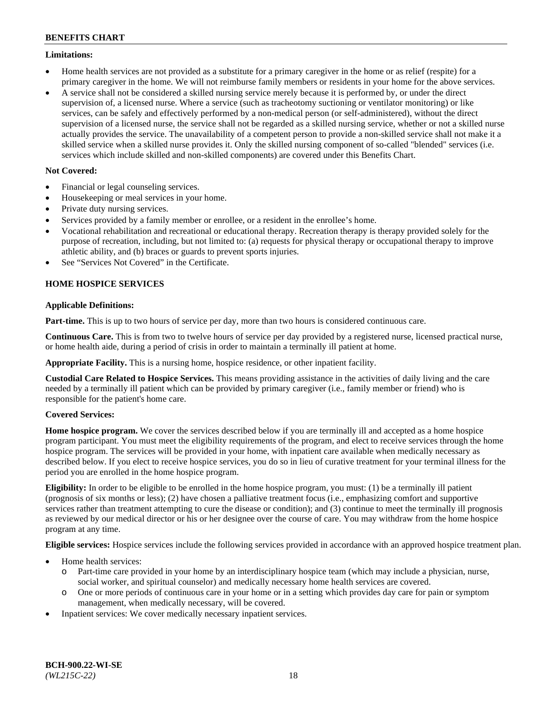### **Limitations:**

- Home health services are not provided as a substitute for a primary caregiver in the home or as relief (respite) for a primary caregiver in the home. We will not reimburse family members or residents in your home for the above services.
- A service shall not be considered a skilled nursing service merely because it is performed by, or under the direct supervision of, a licensed nurse. Where a service (such as tracheotomy suctioning or ventilator monitoring) or like services, can be safely and effectively performed by a non-medical person (or self-administered), without the direct supervision of a licensed nurse, the service shall not be regarded as a skilled nursing service, whether or not a skilled nurse actually provides the service. The unavailability of a competent person to provide a non-skilled service shall not make it a skilled service when a skilled nurse provides it. Only the skilled nursing component of so-called "blended" services (i.e. services which include skilled and non-skilled components) are covered under this Benefits Chart.

## **Not Covered:**

- Financial or legal counseling services.
- Housekeeping or meal services in your home.
- Private duty nursing services.
- Services provided by a family member or enrollee, or a resident in the enrollee's home.
- Vocational rehabilitation and recreational or educational therapy. Recreation therapy is therapy provided solely for the purpose of recreation, including, but not limited to: (a) requests for physical therapy or occupational therapy to improve athletic ability, and (b) braces or guards to prevent sports injuries.
- See "Services Not Covered" in the Certificate.

## **HOME HOSPICE SERVICES**

## **Applicable Definitions:**

**Part-time.** This is up to two hours of service per day, more than two hours is considered continuous care.

**Continuous Care.** This is from two to twelve hours of service per day provided by a registered nurse, licensed practical nurse, or home health aide, during a period of crisis in order to maintain a terminally ill patient at home.

**Appropriate Facility.** This is a nursing home, hospice residence, or other inpatient facility.

**Custodial Care Related to Hospice Services.** This means providing assistance in the activities of daily living and the care needed by a terminally ill patient which can be provided by primary caregiver (i.e., family member or friend) who is responsible for the patient's home care.

## **Covered Services:**

**Home hospice program.** We cover the services described below if you are terminally ill and accepted as a home hospice program participant. You must meet the eligibility requirements of the program, and elect to receive services through the home hospice program. The services will be provided in your home, with inpatient care available when medically necessary as described below. If you elect to receive hospice services, you do so in lieu of curative treatment for your terminal illness for the period you are enrolled in the home hospice program.

**Eligibility:** In order to be eligible to be enrolled in the home hospice program, you must: (1) be a terminally ill patient (prognosis of six months or less); (2) have chosen a palliative treatment focus (i.e., emphasizing comfort and supportive services rather than treatment attempting to cure the disease or condition); and (3) continue to meet the terminally ill prognosis as reviewed by our medical director or his or her designee over the course of care. You may withdraw from the home hospice program at any time.

**Eligible services:** Hospice services include the following services provided in accordance with an approved hospice treatment plan.

- Home health services:
	- o Part-time care provided in your home by an interdisciplinary hospice team (which may include a physician, nurse, social worker, and spiritual counselor) and medically necessary home health services are covered.
	- o One or more periods of continuous care in your home or in a setting which provides day care for pain or symptom management, when medically necessary, will be covered.
- Inpatient services: We cover medically necessary inpatient services.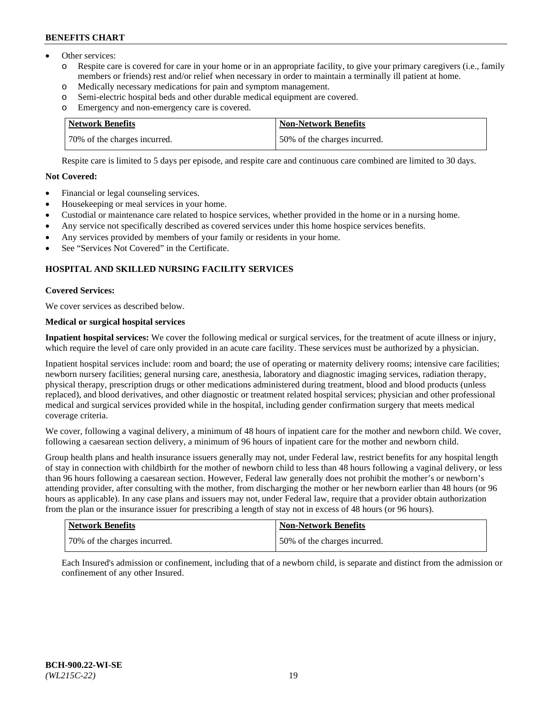- Other services:
	- o Respite care is covered for care in your home or in an appropriate facility, to give your primary caregivers (i.e., family members or friends) rest and/or relief when necessary in order to maintain a terminally ill patient at home.
	- o Medically necessary medications for pain and symptom management.
	- o Semi-electric hospital beds and other durable medical equipment are covered.
	- Emergency and non-emergency care is covered.

| Network Benefits             | Non-Network Benefits         |
|------------------------------|------------------------------|
| 70% of the charges incurred. | 50% of the charges incurred. |

Respite care is limited to 5 days per episode, and respite care and continuous care combined are limited to 30 days.

## **Not Covered:**

- Financial or legal counseling services.
- Housekeeping or meal services in your home.
- Custodial or maintenance care related to hospice services, whether provided in the home or in a nursing home.
- Any service not specifically described as covered services under this home hospice services benefits.
- Any services provided by members of your family or residents in your home.
- See "Services Not Covered" in the Certificate.

## **HOSPITAL AND SKILLED NURSING FACILITY SERVICES**

### **Covered Services:**

We cover services as described below.

## **Medical or surgical hospital services**

**Inpatient hospital services:** We cover the following medical or surgical services, for the treatment of acute illness or injury, which require the level of care only provided in an acute care facility. These services must be authorized by a physician.

Inpatient hospital services include: room and board; the use of operating or maternity delivery rooms; intensive care facilities; newborn nursery facilities; general nursing care, anesthesia, laboratory and diagnostic imaging services, radiation therapy, physical therapy, prescription drugs or other medications administered during treatment, blood and blood products (unless replaced), and blood derivatives, and other diagnostic or treatment related hospital services; physician and other professional medical and surgical services provided while in the hospital, including gender confirmation surgery that meets medical coverage criteria.

We cover, following a vaginal delivery, a minimum of 48 hours of inpatient care for the mother and newborn child. We cover, following a caesarean section delivery, a minimum of 96 hours of inpatient care for the mother and newborn child.

Group health plans and health insurance issuers generally may not, under Federal law, restrict benefits for any hospital length of stay in connection with childbirth for the mother of newborn child to less than 48 hours following a vaginal delivery, or less than 96 hours following a caesarean section. However, Federal law generally does not prohibit the mother's or newborn's attending provider, after consulting with the mother, from discharging the mother or her newborn earlier than 48 hours (or 96 hours as applicable). In any case plans and issuers may not, under Federal law, require that a provider obtain authorization from the plan or the insurance issuer for prescribing a length of stay not in excess of 48 hours (or 96 hours).

| <b>Network Benefits</b>      | <b>Non-Network Benefits</b>  |
|------------------------------|------------------------------|
| 70% of the charges incurred. | 50% of the charges incurred. |

Each Insured's admission or confinement, including that of a newborn child, is separate and distinct from the admission or confinement of any other Insured.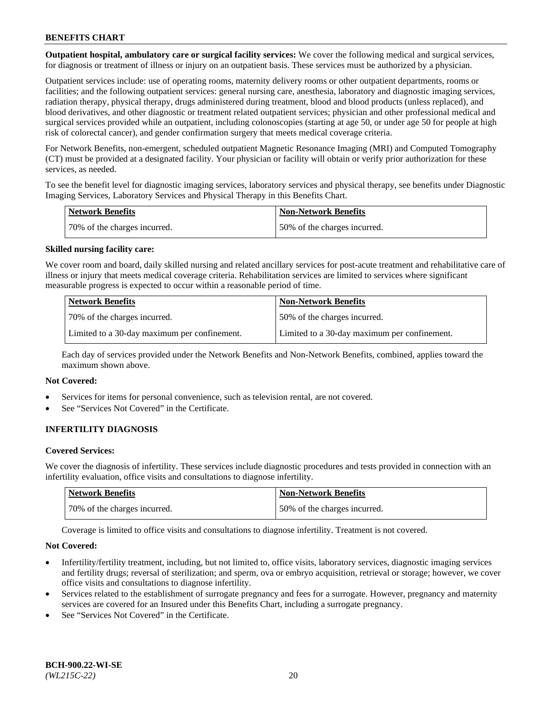**Outpatient hospital, ambulatory care or surgical facility services:** We cover the following medical and surgical services, for diagnosis or treatment of illness or injury on an outpatient basis. These services must be authorized by a physician.

Outpatient services include: use of operating rooms, maternity delivery rooms or other outpatient departments, rooms or facilities; and the following outpatient services: general nursing care, anesthesia, laboratory and diagnostic imaging services, radiation therapy, physical therapy, drugs administered during treatment, blood and blood products (unless replaced), and blood derivatives, and other diagnostic or treatment related outpatient services; physician and other professional medical and surgical services provided while an outpatient, including colonoscopies (starting at age 50, or under age 50 for people at high risk of colorectal cancer), and gender confirmation surgery that meets medical coverage criteria.

For Network Benefits, non-emergent, scheduled outpatient Magnetic Resonance Imaging (MRI) and Computed Tomography (CT) must be provided at a designated facility. Your physician or facility will obtain or verify prior authorization for these services, as needed.

To see the benefit level for diagnostic imaging services, laboratory services and physical therapy, see benefits under Diagnostic Imaging Services, Laboratory Services and Physical Therapy in this Benefits Chart.

| <b>Network Benefits</b>       | <b>Non-Network Benefits</b>  |
|-------------------------------|------------------------------|
| 170% of the charges incurred. | 50% of the charges incurred. |

### **Skilled nursing facility care:**

We cover room and board, daily skilled nursing and related ancillary services for post-acute treatment and rehabilitative care of illness or injury that meets medical coverage criteria. Rehabilitation services are limited to services where significant measurable progress is expected to occur within a reasonable period of time.

| Network Benefits                             | <b>Non-Network Benefits</b>                  |
|----------------------------------------------|----------------------------------------------|
| 70% of the charges incurred.                 | 50% of the charges incurred.                 |
| Limited to a 30-day maximum per confinement. | Limited to a 30-day maximum per confinement. |

Each day of services provided under the Network Benefits and Non-Network Benefits, combined, applies toward the maximum shown above.

#### **Not Covered:**

- Services for items for personal convenience, such as television rental, are not covered.
- See "Services Not Covered" in the Certificate.

## **INFERTILITY DIAGNOSIS**

#### **Covered Services:**

We cover the diagnosis of infertility. These services include diagnostic procedures and tests provided in connection with an infertility evaluation, office visits and consultations to diagnose infertility.

| Network Benefits             | <b>Non-Network Benefits</b>  |
|------------------------------|------------------------------|
| 70% of the charges incurred. | 50% of the charges incurred. |

Coverage is limited to office visits and consultations to diagnose infertility. Treatment is not covered.

#### **Not Covered:**

- Infertility/fertility treatment, including, but not limited to, office visits, laboratory services, diagnostic imaging services and fertility drugs; reversal of sterilization; and sperm, ova or embryo acquisition, retrieval or storage; however, we cover office visits and consultations to diagnose infertility.
- Services related to the establishment of surrogate pregnancy and fees for a surrogate. However, pregnancy and maternity services are covered for an Insured under this Benefits Chart, including a surrogate pregnancy.
- See "Services Not Covered" in the Certificate.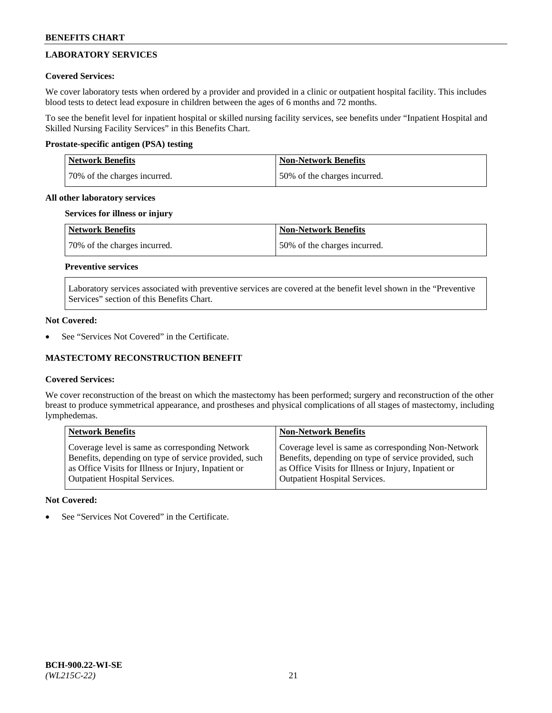## **LABORATORY SERVICES**

## **Covered Services:**

We cover laboratory tests when ordered by a provider and provided in a clinic or outpatient hospital facility. This includes blood tests to detect lead exposure in children between the ages of 6 months and 72 months.

To see the benefit level for inpatient hospital or skilled nursing facility services, see benefits under "Inpatient Hospital and Skilled Nursing Facility Services" in this Benefits Chart.

## **Prostate-specific antigen (PSA) testing**

| <b>Network Benefits</b>      | <b>Non-Network Benefits</b>  |
|------------------------------|------------------------------|
| 70% of the charges incurred. | 50% of the charges incurred. |

## **All other laboratory services**

## **Services for illness or injury**

| Network Benefits             | <b>Non-Network Benefits</b>  |
|------------------------------|------------------------------|
| 70% of the charges incurred. | 50% of the charges incurred. |

## **Preventive services**

Laboratory services associated with preventive services are covered at the benefit level shown in the "Preventive Services" section of this Benefits Chart.

## **Not Covered:**

See "Services Not Covered" in the Certificate.

## **MASTECTOMY RECONSTRUCTION BENEFIT**

## **Covered Services:**

We cover reconstruction of the breast on which the mastectomy has been performed; surgery and reconstruction of the other breast to produce symmetrical appearance, and prostheses and physical complications of all stages of mastectomy, including lymphedemas.

| <b>Network Benefits</b>                               | <b>Non-Network Benefits</b>                           |
|-------------------------------------------------------|-------------------------------------------------------|
| Coverage level is same as corresponding Network       | Coverage level is same as corresponding Non-Network   |
| Benefits, depending on type of service provided, such | Benefits, depending on type of service provided, such |
| as Office Visits for Illness or Injury, Inpatient or  | as Office Visits for Illness or Injury, Inpatient or  |
| <b>Outpatient Hospital Services.</b>                  | <b>Outpatient Hospital Services.</b>                  |

## **Not Covered:**

See "Services Not Covered" in the Certificate.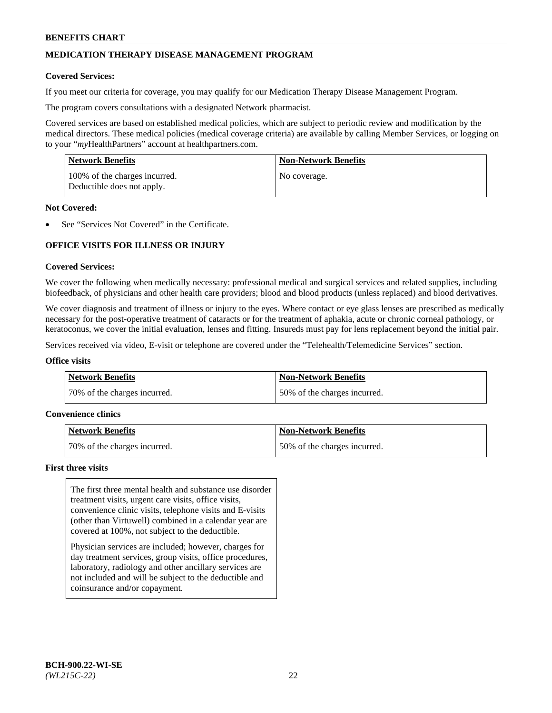## **MEDICATION THERAPY DISEASE MANAGEMENT PROGRAM**

### **Covered Services:**

If you meet our criteria for coverage, you may qualify for our Medication Therapy Disease Management Program.

The program covers consultations with a designated Network pharmacist.

Covered services are based on established medical policies, which are subject to periodic review and modification by the medical directors. These medical policies (medical coverage criteria) are available by calling Member Services, or logging on to your "*my*HealthPartners" account at [healthpartners.com.](http://www.healthpartners.com/)

| <b>Network Benefits</b>                                     | <b>Non-Network Benefits</b> |
|-------------------------------------------------------------|-----------------------------|
| 100% of the charges incurred.<br>Deductible does not apply. | No coverage.                |

### **Not Covered:**

See "Services Not Covered" in the Certificate.

## **OFFICE VISITS FOR ILLNESS OR INJURY**

#### **Covered Services:**

We cover the following when medically necessary: professional medical and surgical services and related supplies, including biofeedback, of physicians and other health care providers; blood and blood products (unless replaced) and blood derivatives.

We cover diagnosis and treatment of illness or injury to the eyes. Where contact or eye glass lenses are prescribed as medically necessary for the post-operative treatment of cataracts or for the treatment of aphakia, acute or chronic corneal pathology, or keratoconus, we cover the initial evaluation, lenses and fitting. Insureds must pay for lens replacement beyond the initial pair.

Services received via video, E-visit or telephone are covered under the "Telehealth/Telemedicine Services" section.

#### **Office visits**

| <b>Network Benefits</b>      | <b>Non-Network Benefits</b>  |
|------------------------------|------------------------------|
| 70% of the charges incurred. | 50% of the charges incurred. |

#### **Convenience clinics**

| Network Benefits             | <b>Non-Network Benefits</b>  |
|------------------------------|------------------------------|
| 70% of the charges incurred. | 50% of the charges incurred. |

#### **First three visits**

The first three mental health and substance use disorder treatment visits, urgent care visits, office visits, convenience clinic visits, telephone visits and E-visits (other than Virtuwell) combined in a calendar year are covered at 100%, not subject to the deductible.

Physician services are included; however, charges for day treatment services, group visits, office procedures, laboratory, radiology and other ancillary services are not included and will be subject to the deductible and coinsurance and/or copayment.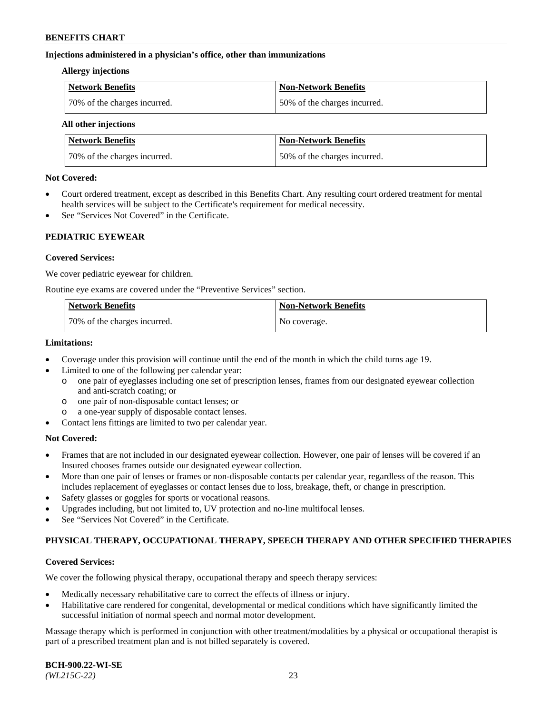### **Injections administered in a physician's office, other than immunizations**

#### **Allergy injections**

| <b>Network Benefits</b>      | Non-Network Benefits         |
|------------------------------|------------------------------|
| 70% of the charges incurred. | 50% of the charges incurred. |

#### **All other injections**

| <b>Network Benefits</b>      | <b>Non-Network Benefits</b>  |
|------------------------------|------------------------------|
| 70% of the charges incurred. | 50% of the charges incurred. |

### **Not Covered:**

- Court ordered treatment, except as described in this Benefits Chart. Any resulting court ordered treatment for mental health services will be subject to the Certificate's requirement for medical necessity.
- See "Services Not Covered" in the Certificate.

## **PEDIATRIC EYEWEAR**

### **Covered Services:**

We cover pediatric eyewear for children.

Routine eye exams are covered under the "Preventive Services" section.

| <b>Network Benefits</b>      | <b>Non-Network Benefits</b> |
|------------------------------|-----------------------------|
| 70% of the charges incurred. | No coverage.                |

### **Limitations:**

- Coverage under this provision will continue until the end of the month in which the child turns age 19.
- Limited to one of the following per calendar year:
	- o one pair of eyeglasses including one set of prescription lenses, frames from our designated eyewear collection and anti-scratch coating; or
	- o one pair of non-disposable contact lenses; or
	- o a one-year supply of disposable contact lenses.
- Contact lens fittings are limited to two per calendar year.

## **Not Covered:**

- Frames that are not included in our designated eyewear collection. However, one pair of lenses will be covered if an Insured chooses frames outside our designated eyewear collection.
- More than one pair of lenses or frames or non-disposable contacts per calendar year, regardless of the reason. This includes replacement of eyeglasses or contact lenses due to loss, breakage, theft, or change in prescription.
- Safety glasses or goggles for sports or vocational reasons.
- Upgrades including, but not limited to, UV protection and no-line multifocal lenses.
- See "Services Not Covered" in the Certificate.

## **PHYSICAL THERAPY, OCCUPATIONAL THERAPY, SPEECH THERAPY AND OTHER SPECIFIED THERAPIES**

## **Covered Services:**

We cover the following physical therapy, occupational therapy and speech therapy services:

- Medically necessary rehabilitative care to correct the effects of illness or injury.
- Habilitative care rendered for congenital, developmental or medical conditions which have significantly limited the successful initiation of normal speech and normal motor development.

Massage therapy which is performed in conjunction with other treatment/modalities by a physical or occupational therapist is part of a prescribed treatment plan and is not billed separately is covered.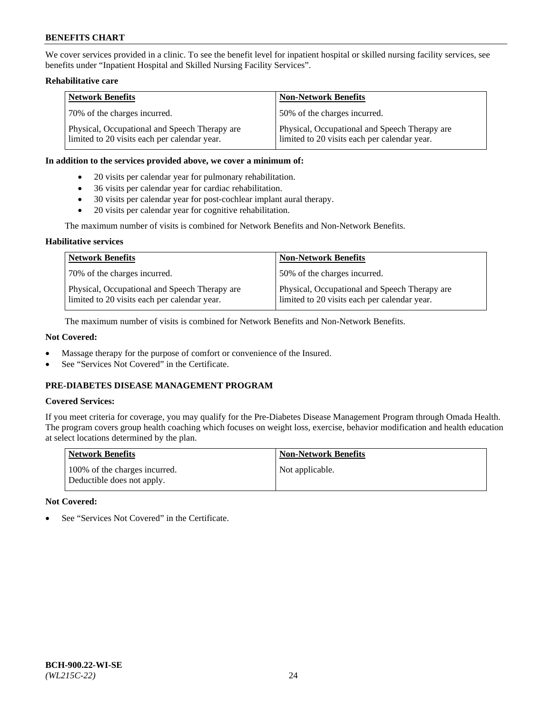We cover services provided in a clinic. To see the benefit level for inpatient hospital or skilled nursing facility services, see benefits under "Inpatient Hospital and Skilled Nursing Facility Services".

## **Rehabilitative care**

| <b>Network Benefits</b>                                                                       | <b>Non-Network Benefits</b>                                                                   |
|-----------------------------------------------------------------------------------------------|-----------------------------------------------------------------------------------------------|
| 70% of the charges incurred.                                                                  | 50% of the charges incurred.                                                                  |
| Physical, Occupational and Speech Therapy are<br>limited to 20 visits each per calendar year. | Physical, Occupational and Speech Therapy are<br>limited to 20 visits each per calendar year. |

### **In addition to the services provided above, we cover a minimum of:**

- 20 visits per calendar year for pulmonary rehabilitation.
- 36 visits per calendar year for cardiac rehabilitation.
- 30 visits per calendar year for post-cochlear implant aural therapy.
- 20 visits per calendar year for cognitive rehabilitation.

The maximum number of visits is combined for Network Benefits and Non-Network Benefits.

## **Habilitative services**

| <b>Network Benefits</b>                                                                       | <b>Non-Network Benefits</b>                                                                   |
|-----------------------------------------------------------------------------------------------|-----------------------------------------------------------------------------------------------|
| 70% of the charges incurred.                                                                  | 50% of the charges incurred.                                                                  |
| Physical, Occupational and Speech Therapy are<br>limited to 20 visits each per calendar year. | Physical, Occupational and Speech Therapy are<br>limited to 20 visits each per calendar year. |

The maximum number of visits is combined for Network Benefits and Non-Network Benefits.

## **Not Covered:**

- Massage therapy for the purpose of comfort or convenience of the Insured.
- See "Services Not Covered" in the Certificate.

## **PRE-DIABETES DISEASE MANAGEMENT PROGRAM**

## **Covered Services:**

If you meet criteria for coverage, you may qualify for the Pre-Diabetes Disease Management Program through Omada Health. The program covers group health coaching which focuses on weight loss, exercise, behavior modification and health education at select locations determined by the plan.

| <b>Network Benefits</b>                                     | <b>Non-Network Benefits</b> |
|-------------------------------------------------------------|-----------------------------|
| 100% of the charges incurred.<br>Deductible does not apply. | Not applicable.             |

## **Not Covered:**

See "Services Not Covered" in the Certificate.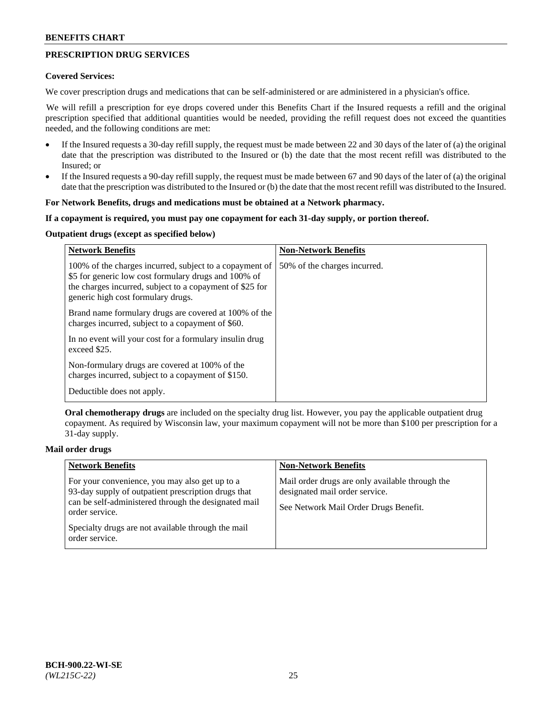## **PRESCRIPTION DRUG SERVICES**

### **Covered Services:**

We cover prescription drugs and medications that can be self-administered or are administered in a physician's office.

We will refill a prescription for eye drops covered under this Benefits Chart if the Insured requests a refill and the original prescription specified that additional quantities would be needed, providing the refill request does not exceed the quantities needed, and the following conditions are met:

- If the Insured requests a 30-day refill supply, the request must be made between 22 and 30 days of the later of (a) the original date that the prescription was distributed to the Insured or (b) the date that the most recent refill was distributed to the Insured; or
- If the Insured requests a 90-day refill supply, the request must be made between 67 and 90 days of the later of (a) the original date that the prescription was distributed to the Insured or (b) the date that the most recent refill was distributed to the Insured.

### **For Network Benefits, drugs and medications must be obtained at a Network pharmacy.**

### **If a copayment is required, you must pay one copayment for each 31-day supply, or portion thereof.**

## **Outpatient drugs (except as specified below)**

| <b>Network Benefits</b>                                                                                                                                                                                           | <b>Non-Network Benefits</b>  |
|-------------------------------------------------------------------------------------------------------------------------------------------------------------------------------------------------------------------|------------------------------|
| 100% of the charges incurred, subject to a copayment of<br>\$5 for generic low cost formulary drugs and 100% of<br>the charges incurred, subject to a copayment of \$25 for<br>generic high cost formulary drugs. | 50% of the charges incurred. |
| Brand name formulary drugs are covered at 100% of the<br>charges incurred, subject to a copayment of \$60.                                                                                                        |                              |
| In no event will your cost for a formulary insulin drug<br>exceed \$25.                                                                                                                                           |                              |
| Non-formulary drugs are covered at 100% of the<br>charges incurred, subject to a copayment of \$150.                                                                                                              |                              |
| Deductible does not apply.                                                                                                                                                                                        |                              |

**Oral chemotherapy drugs** are included on the specialty drug list. However, you pay the applicable outpatient drug copayment. As required by Wisconsin law, your maximum copayment will not be more than \$100 per prescription for a 31-day supply.

## **Mail order drugs**

| <b>Network Benefits</b>                                                                                                                                                         | <b>Non-Network Benefits</b>                                                                                                |
|---------------------------------------------------------------------------------------------------------------------------------------------------------------------------------|----------------------------------------------------------------------------------------------------------------------------|
| For your convenience, you may also get up to a<br>93-day supply of outpatient prescription drugs that<br>can be self-administered through the designated mail<br>order service. | Mail order drugs are only available through the<br>designated mail order service.<br>See Network Mail Order Drugs Benefit. |
| Specialty drugs are not available through the mail<br>order service.                                                                                                            |                                                                                                                            |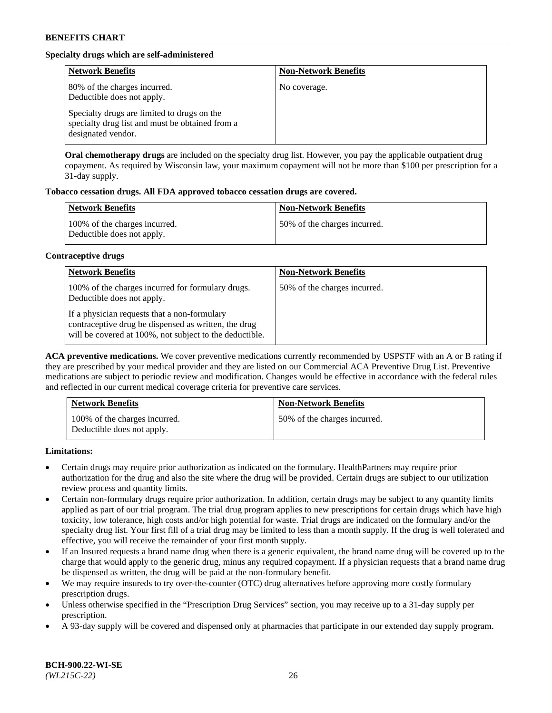## **Specialty drugs which are self-administered**

| <b>Network Benefits</b>                                                                                              | <b>Non-Network Benefits</b> |
|----------------------------------------------------------------------------------------------------------------------|-----------------------------|
| 80% of the charges incurred.<br>Deductible does not apply.                                                           | No coverage.                |
| Specialty drugs are limited to drugs on the<br>specialty drug list and must be obtained from a<br>designated vendor. |                             |

**Oral chemotherapy drugs** are included on the specialty drug list. However, you pay the applicable outpatient drug copayment. As required by Wisconsin law, your maximum copayment will not be more than \$100 per prescription for a 31-day supply.

## **Tobacco cessation drugs. All FDA approved tobacco cessation drugs are covered.**

| <b>Network Benefits</b>                                     | <b>Non-Network Benefits</b>  |
|-------------------------------------------------------------|------------------------------|
| 100% of the charges incurred.<br>Deductible does not apply. | 50% of the charges incurred. |

### **Contraceptive drugs**

| <b>Network Benefits</b>                                                                                                                                         | <b>Non-Network Benefits</b>  |
|-----------------------------------------------------------------------------------------------------------------------------------------------------------------|------------------------------|
| 100% of the charges incurred for formulary drugs.<br>Deductible does not apply.                                                                                 | 50% of the charges incurred. |
| If a physician requests that a non-formulary<br>contraceptive drug be dispensed as written, the drug<br>will be covered at 100%, not subject to the deductible. |                              |

**ACA preventive medications.** We cover preventive medications currently recommended by USPSTF with an A or B rating if they are prescribed by your medical provider and they are listed on our Commercial ACA Preventive Drug List. Preventive medications are subject to periodic review and modification. Changes would be effective in accordance with the federal rules and reflected in our current medical coverage criteria for preventive care services.

| <b>Network Benefits</b>                                     | <b>Non-Network Benefits</b>  |
|-------------------------------------------------------------|------------------------------|
| 100% of the charges incurred.<br>Deductible does not apply. | 50% of the charges incurred. |

**Limitations:**

- Certain drugs may require prior authorization as indicated on the formulary. HealthPartners may require prior authorization for the drug and also the site where the drug will be provided. Certain drugs are subject to our utilization review process and quantity limits.
- Certain non-formulary drugs require prior authorization. In addition, certain drugs may be subject to any quantity limits applied as part of our trial program. The trial drug program applies to new prescriptions for certain drugs which have high toxicity, low tolerance, high costs and/or high potential for waste. Trial drugs are indicated on the formulary and/or the specialty drug list. Your first fill of a trial drug may be limited to less than a month supply. If the drug is well tolerated and effective, you will receive the remainder of your first month supply.
- If an Insured requests a brand name drug when there is a generic equivalent, the brand name drug will be covered up to the charge that would apply to the generic drug, minus any required copayment. If a physician requests that a brand name drug be dispensed as written, the drug will be paid at the non-formulary benefit.
- We may require insureds to try over-the-counter (OTC) drug alternatives before approving more costly formulary prescription drugs.
- Unless otherwise specified in the "Prescription Drug Services" section, you may receive up to a 31-day supply per prescription.
- A 93-day supply will be covered and dispensed only at pharmacies that participate in our extended day supply program.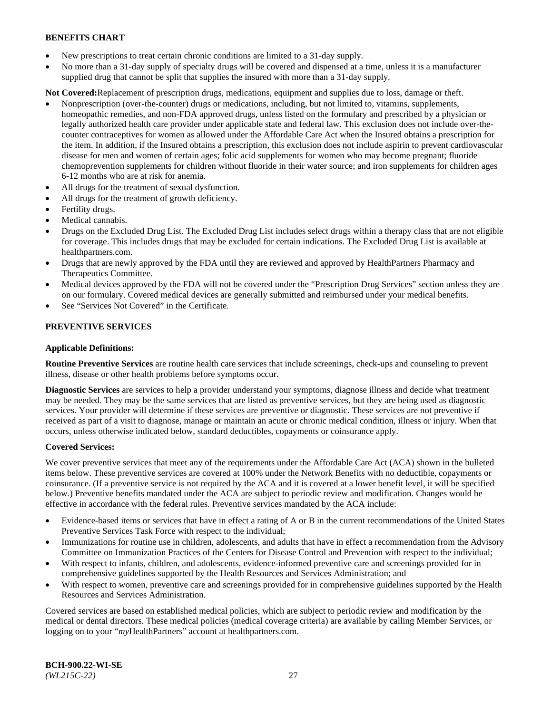- New prescriptions to treat certain chronic conditions are limited to a 31-day supply.
- No more than a 31-day supply of specialty drugs will be covered and dispensed at a time, unless it is a manufacturer supplied drug that cannot be split that supplies the insured with more than a 31-day supply.

**Not Covered:**Replacement of prescription drugs, medications, equipment and supplies due to loss, damage or theft.

- Nonprescription (over-the-counter) drugs or medications, including, but not limited to, vitamins, supplements, homeopathic remedies, and non-FDA approved drugs, unless listed on the formulary and prescribed by a physician or legally authorized health care provider under applicable state and federal law. This exclusion does not include over-thecounter contraceptives for women as allowed under the Affordable Care Act when the Insured obtains a prescription for the item. In addition, if the Insured obtains a prescription, this exclusion does not include aspirin to prevent cardiovascular disease for men and women of certain ages; folic acid supplements for women who may become pregnant; fluoride chemoprevention supplements for children without fluoride in their water source; and iron supplements for children ages 6-12 months who are at risk for anemia.
- All drugs for the treatment of sexual dysfunction.
- All drugs for the treatment of growth deficiency.
- Fertility drugs.
- Medical cannabis.
- Drugs on the Excluded Drug List. The Excluded Drug List includes select drugs within a therapy class that are not eligible for coverage. This includes drugs that may be excluded for certain indications. The Excluded Drug List is available at [healthpartners.com.](http://www.healthpartners.com/)
- Drugs that are newly approved by the FDA until they are reviewed and approved by HealthPartners Pharmacy and Therapeutics Committee.
- Medical devices approved by the FDA will not be covered under the "Prescription Drug Services" section unless they are on our formulary. Covered medical devices are generally submitted and reimbursed under your medical benefits.
- See "Services Not Covered" in the Certificate.

## **PREVENTIVE SERVICES**

### **Applicable Definitions:**

**Routine Preventive Services** are routine health care services that include screenings, check-ups and counseling to prevent illness, disease or other health problems before symptoms occur.

**Diagnostic Services** are services to help a provider understand your symptoms, diagnose illness and decide what treatment may be needed. They may be the same services that are listed as preventive services, but they are being used as diagnostic services. Your provider will determine if these services are preventive or diagnostic. These services are not preventive if received as part of a visit to diagnose, manage or maintain an acute or chronic medical condition, illness or injury. When that occurs, unless otherwise indicated below, standard deductibles, copayments or coinsurance apply.

#### **Covered Services:**

We cover preventive services that meet any of the requirements under the Affordable Care Act (ACA) shown in the bulleted items below. These preventive services are covered at 100% under the Network Benefits with no deductible, copayments or coinsurance. (If a preventive service is not required by the ACA and it is covered at a lower benefit level, it will be specified below.) Preventive benefits mandated under the ACA are subject to periodic review and modification. Changes would be effective in accordance with the federal rules. Preventive services mandated by the ACA include:

- Evidence-based items or services that have in effect a rating of A or B in the current recommendations of the United States Preventive Services Task Force with respect to the individual;
- Immunizations for routine use in children, adolescents, and adults that have in effect a recommendation from the Advisory Committee on Immunization Practices of the Centers for Disease Control and Prevention with respect to the individual;
- With respect to infants, children, and adolescents, evidence-informed preventive care and screenings provided for in comprehensive guidelines supported by the Health Resources and Services Administration; and
- With respect to women, preventive care and screenings provided for in comprehensive guidelines supported by the Health Resources and Services Administration.

Covered services are based on established medical policies, which are subject to periodic review and modification by the medical or dental directors. These medical policies (medical coverage criteria) are available by calling Member Services, or logging on to your "*my*HealthPartners" account at [healthpartners.com.](https://www.healthpartners.com/hp/index.html)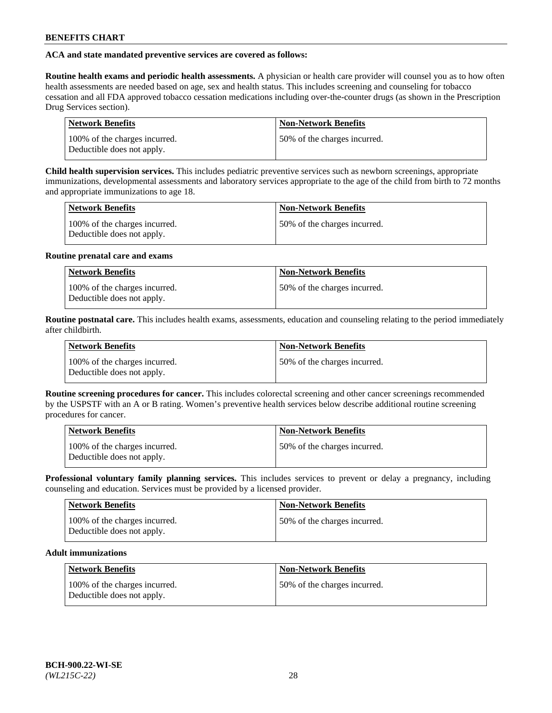## **ACA and state mandated preventive services are covered as follows:**

**Routine health exams and periodic health assessments.** A physician or health care provider will counsel you as to how often health assessments are needed based on age, sex and health status. This includes screening and counseling for tobacco cessation and all FDA approved tobacco cessation medications including over-the-counter drugs (as shown in the Prescription Drug Services section).

| <b>Network Benefits</b>                                     | <b>Non-Network Benefits</b>   |
|-------------------------------------------------------------|-------------------------------|
| 100% of the charges incurred.<br>Deductible does not apply. | 150% of the charges incurred. |

**Child health supervision services.** This includes pediatric preventive services such as newborn screenings, appropriate immunizations, developmental assessments and laboratory services appropriate to the age of the child from birth to 72 months and appropriate immunizations to age 18.

| <b>Network Benefits</b>                                     | <b>Non-Network Benefits</b>  |
|-------------------------------------------------------------|------------------------------|
| 100% of the charges incurred.<br>Deductible does not apply. | 50% of the charges incurred. |

### **Routine prenatal care and exams**

| Network Benefits                                            | <b>Non-Network Benefits</b>   |
|-------------------------------------------------------------|-------------------------------|
| 100% of the charges incurred.<br>Deductible does not apply. | 150% of the charges incurred. |

**Routine postnatal care.** This includes health exams, assessments, education and counseling relating to the period immediately after childbirth.

| <b>Network Benefits</b>                                     | <b>Non-Network Benefits</b>  |
|-------------------------------------------------------------|------------------------------|
| 100% of the charges incurred.<br>Deductible does not apply. | 50% of the charges incurred. |

**Routine screening procedures for cancer.** This includes colorectal screening and other cancer screenings recommended by the USPSTF with an A or B rating. Women's preventive health services below describe additional routine screening procedures for cancer.

| <b>Network Benefits</b>                                     | <b>Non-Network Benefits</b>   |
|-------------------------------------------------------------|-------------------------------|
| 100% of the charges incurred.<br>Deductible does not apply. | 150% of the charges incurred. |

**Professional voluntary family planning services.** This includes services to prevent or delay a pregnancy, including counseling and education. Services must be provided by a licensed provider.

| <b>Network Benefits</b>                                     | <b>Non-Network Benefits</b>  |
|-------------------------------------------------------------|------------------------------|
| 100% of the charges incurred.<br>Deductible does not apply. | 50% of the charges incurred. |

## **Adult immunizations**

| Network Benefits                                            | <b>Non-Network Benefits</b>  |
|-------------------------------------------------------------|------------------------------|
| 100% of the charges incurred.<br>Deductible does not apply. | 50% of the charges incurred. |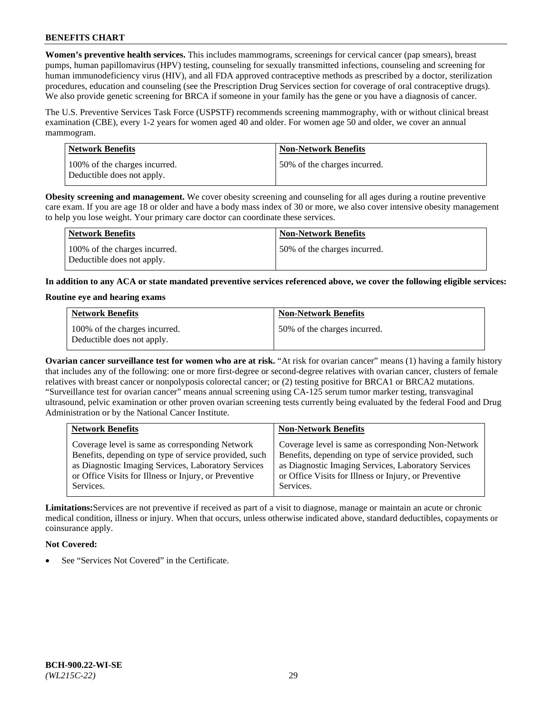**Women's preventive health services.** This includes mammograms, screenings for cervical cancer (pap smears), breast pumps, human papillomavirus (HPV) testing, counseling for sexually transmitted infections, counseling and screening for human immunodeficiency virus (HIV), and all FDA approved contraceptive methods as prescribed by a doctor, sterilization procedures, education and counseling (see the Prescription Drug Services section for coverage of oral contraceptive drugs). We also provide genetic screening for BRCA if someone in your family has the gene or you have a diagnosis of cancer.

The U.S. Preventive Services Task Force (USPSTF) recommends screening mammography, with or without clinical breast examination (CBE), every 1-2 years for women aged 40 and older. For women age 50 and older, we cover an annual mammogram.

| <b>Network Benefits</b>                                     | <b>Non-Network Benefits</b>  |
|-------------------------------------------------------------|------------------------------|
| 100% of the charges incurred.<br>Deductible does not apply. | 50% of the charges incurred. |

**Obesity screening and management.** We cover obesity screening and counseling for all ages during a routine preventive care exam. If you are age 18 or older and have a body mass index of 30 or more, we also cover intensive obesity management to help you lose weight. Your primary care doctor can coordinate these services.

| Network Benefits                                            | <b>Non-Network Benefits</b>  |
|-------------------------------------------------------------|------------------------------|
| 100% of the charges incurred.<br>Deductible does not apply. | 50% of the charges incurred. |

**In addition to any ACA or state mandated preventive services referenced above, we cover the following eligible services:**

### **Routine eye and hearing exams**

| <b>Network Benefits</b>                                     | <b>Non-Network Benefits</b>  |
|-------------------------------------------------------------|------------------------------|
| 100% of the charges incurred.<br>Deductible does not apply. | 50% of the charges incurred. |

**Ovarian cancer surveillance test for women who are at risk.** "At risk for ovarian cancer" means (1) having a family history that includes any of the following: one or more first-degree or second-degree relatives with ovarian cancer, clusters of female relatives with breast cancer or nonpolyposis colorectal cancer; or (2) testing positive for BRCA1 or BRCA2 mutations. "Surveillance test for ovarian cancer" means annual screening using CA-125 serum tumor marker testing, transvaginal ultrasound, pelvic examination or other proven ovarian screening tests currently being evaluated by the federal Food and Drug Administration or by the National Cancer Institute.

| <b>Network Benefits</b>                               | <b>Non-Network Benefits</b>                           |
|-------------------------------------------------------|-------------------------------------------------------|
| Coverage level is same as corresponding Network       | Coverage level is same as corresponding Non-Network   |
| Benefits, depending on type of service provided, such | Benefits, depending on type of service provided, such |
| as Diagnostic Imaging Services, Laboratory Services   | as Diagnostic Imaging Services, Laboratory Services   |
| or Office Visits for Illness or Injury, or Preventive | or Office Visits for Illness or Injury, or Preventive |
| Services.                                             | Services.                                             |

**Limitations:**Services are not preventive if received as part of a visit to diagnose, manage or maintain an acute or chronic medical condition, illness or injury. When that occurs, unless otherwise indicated above, standard deductibles, copayments or coinsurance apply.

## **Not Covered:**

See "Services Not Covered" in the Certificate.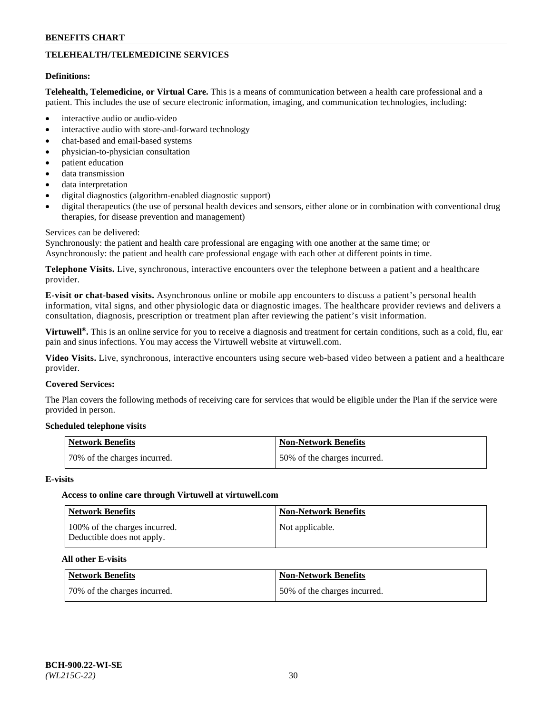## **TELEHEALTH/TELEMEDICINE SERVICES**

#### **Definitions:**

**Telehealth, Telemedicine, or Virtual Care.** This is a means of communication between a health care professional and a patient. This includes the use of secure electronic information, imaging, and communication technologies, including:

- interactive audio or audio-video
- interactive audio with store-and-forward technology
- chat-based and email-based systems
- physician-to-physician consultation
- patient education
- data transmission
- data interpretation
- digital diagnostics (algorithm-enabled diagnostic support)
- digital therapeutics (the use of personal health devices and sensors, either alone or in combination with conventional drug therapies, for disease prevention and management)

#### Services can be delivered:

Synchronously: the patient and health care professional are engaging with one another at the same time; or Asynchronously: the patient and health care professional engage with each other at different points in time.

**Telephone Visits.** Live, synchronous, interactive encounters over the telephone between a patient and a healthcare provider.

**E-visit or chat-based visits.** Asynchronous online or mobile app encounters to discuss a patient's personal health information, vital signs, and other physiologic data or diagnostic images. The healthcare provider reviews and delivers a consultation, diagnosis, prescription or treatment plan after reviewing the patient's visit information.

**Virtuwell®.** This is an online service for you to receive a diagnosis and treatment for certain conditions, such as a cold, flu, ear pain and sinus infections. You may access the Virtuwell website at [virtuwell.com.](https://www.virtuwell.com/)

**Video Visits.** Live, synchronous, interactive encounters using secure web-based video between a patient and a healthcare provider.

### **Covered Services:**

The Plan covers the following methods of receiving care for services that would be eligible under the Plan if the service were provided in person.

#### **Scheduled telephone visits**

| Network Benefits             | Non-Network Benefits         |
|------------------------------|------------------------------|
| 70% of the charges incurred. | 50% of the charges incurred. |

#### **E-visits**

## **Access to online care through Virtuwell at [virtuwell.com](https://www.virtuwell.com/)**

| Network Benefits                                            | <b>Non-Network Benefits</b> |
|-------------------------------------------------------------|-----------------------------|
| 100% of the charges incurred.<br>Deductible does not apply. | Not applicable.             |

#### **All other E-visits**

| Network Benefits             | Non-Network Benefits         |
|------------------------------|------------------------------|
| 70% of the charges incurred. | 50% of the charges incurred. |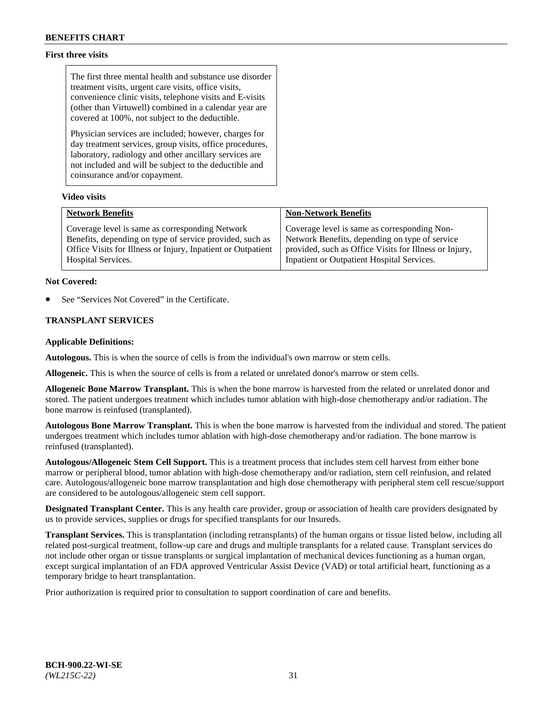## **First three visits**

The first three mental health and substance use disorder treatment visits, urgent care visits, office visits, convenience clinic visits, telephone visits and E-visits (other than Virtuwell) combined in a calendar year are covered at 100%, not subject to the deductible.

Physician services are included; however, charges for day treatment services, group visits, office procedures, laboratory, radiology and other ancillary services are not included and will be subject to the deductible and coinsurance and/or copayment.

### **Video visits**

| <b>Network Benefits</b>                                      | <b>Non-Network Benefits</b>                            |
|--------------------------------------------------------------|--------------------------------------------------------|
| Coverage level is same as corresponding Network              | Coverage level is same as corresponding Non-           |
| Benefits, depending on type of service provided, such as     | Network Benefits, depending on type of service         |
| Office Visits for Illness or Injury, Inpatient or Outpatient | provided, such as Office Visits for Illness or Injury, |
| Hospital Services.                                           | Inpatient or Outpatient Hospital Services.             |

### **Not Covered:**

See "Services Not Covered" in the Certificate.

## **TRANSPLANT SERVICES**

### **Applicable Definitions:**

**Autologous.** This is when the source of cells is from the individual's own marrow or stem cells.

**Allogeneic.** This is when the source of cells is from a related or unrelated donor's marrow or stem cells.

**Allogeneic Bone Marrow Transplant.** This is when the bone marrow is harvested from the related or unrelated donor and stored. The patient undergoes treatment which includes tumor ablation with high-dose chemotherapy and/or radiation. The bone marrow is reinfused (transplanted).

**Autologous Bone Marrow Transplant.** This is when the bone marrow is harvested from the individual and stored. The patient undergoes treatment which includes tumor ablation with high-dose chemotherapy and/or radiation. The bone marrow is reinfused (transplanted).

**Autologous/Allogeneic Stem Cell Support.** This is a treatment process that includes stem cell harvest from either bone marrow or peripheral blood, tumor ablation with high-dose chemotherapy and/or radiation, stem cell reinfusion, and related care. Autologous/allogeneic bone marrow transplantation and high dose chemotherapy with peripheral stem cell rescue/support are considered to be autologous/allogeneic stem cell support.

**Designated Transplant Center.** This is any health care provider, group or association of health care providers designated by us to provide services, supplies or drugs for specified transplants for our Insureds.

**Transplant Services.** This is transplantation (including retransplants) of the human organs or tissue listed below, including all related post-surgical treatment, follow-up care and drugs and multiple transplants for a related cause. Transplant services do not include other organ or tissue transplants or surgical implantation of mechanical devices functioning as a human organ, except surgical implantation of an FDA approved Ventricular Assist Device (VAD) or total artificial heart, functioning as a temporary bridge to heart transplantation.

Prior authorization is required prior to consultation to support coordination of care and benefits.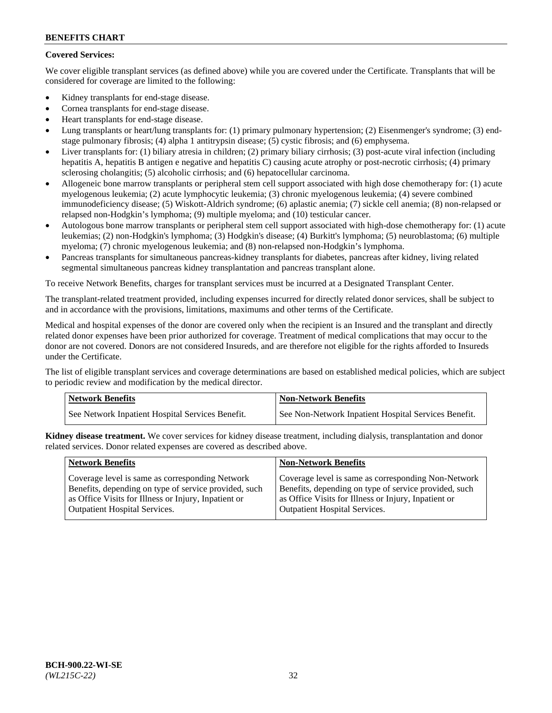## **Covered Services:**

We cover eligible transplant services (as defined above) while you are covered under the Certificate. Transplants that will be considered for coverage are limited to the following:

- Kidney transplants for end-stage disease.
- Cornea transplants for end-stage disease.
- Heart transplants for end-stage disease.
- Lung transplants or heart/lung transplants for: (1) primary pulmonary hypertension; (2) Eisenmenger's syndrome; (3) endstage pulmonary fibrosis; (4) alpha 1 antitrypsin disease; (5) cystic fibrosis; and (6) emphysema.
- Liver transplants for: (1) biliary atresia in children; (2) primary biliary cirrhosis; (3) post-acute viral infection (including hepatitis A, hepatitis B antigen e negative and hepatitis C) causing acute atrophy or post-necrotic cirrhosis; (4) primary sclerosing cholangitis; (5) alcoholic cirrhosis; and (6) hepatocellular carcinoma.
- Allogeneic bone marrow transplants or peripheral stem cell support associated with high dose chemotherapy for: (1) acute myelogenous leukemia; (2) acute lymphocytic leukemia; (3) chronic myelogenous leukemia; (4) severe combined immunodeficiency disease; (5) Wiskott-Aldrich syndrome; (6) aplastic anemia; (7) sickle cell anemia; (8) non-relapsed or relapsed non-Hodgkin's lymphoma; (9) multiple myeloma; and (10) testicular cancer.
- Autologous bone marrow transplants or peripheral stem cell support associated with high-dose chemotherapy for: (1) acute leukemias; (2) non-Hodgkin's lymphoma; (3) Hodgkin's disease; (4) Burkitt's lymphoma; (5) neuroblastoma; (6) multiple myeloma; (7) chronic myelogenous leukemia; and (8) non-relapsed non-Hodgkin's lymphoma.
- Pancreas transplants for simultaneous pancreas-kidney transplants for diabetes, pancreas after kidney, living related segmental simultaneous pancreas kidney transplantation and pancreas transplant alone.

To receive Network Benefits, charges for transplant services must be incurred at a Designated Transplant Center.

The transplant-related treatment provided, including expenses incurred for directly related donor services, shall be subject to and in accordance with the provisions, limitations, maximums and other terms of the Certificate.

Medical and hospital expenses of the donor are covered only when the recipient is an Insured and the transplant and directly related donor expenses have been prior authorized for coverage. Treatment of medical complications that may occur to the donor are not covered. Donors are not considered Insureds, and are therefore not eligible for the rights afforded to Insureds under the Certificate.

The list of eligible transplant services and coverage determinations are based on established medical policies, which are subject to periodic review and modification by the medical director.

| <b>Network Benefits</b>                          | <b>Non-Network Benefits</b>                          |
|--------------------------------------------------|------------------------------------------------------|
| See Network Inpatient Hospital Services Benefit. | See Non-Network Inpatient Hospital Services Benefit. |

**Kidney disease treatment.** We cover services for kidney disease treatment, including dialysis, transplantation and donor related services. Donor related expenses are covered as described above.

| <b>Network Benefits</b>                               | <b>Non-Network Benefits</b>                           |
|-------------------------------------------------------|-------------------------------------------------------|
| Coverage level is same as corresponding Network       | Coverage level is same as corresponding Non-Network   |
| Benefits, depending on type of service provided, such | Benefits, depending on type of service provided, such |
| as Office Visits for Illness or Injury, Inpatient or  | as Office Visits for Illness or Injury, Inpatient or  |
| <b>Outpatient Hospital Services.</b>                  | Outpatient Hospital Services.                         |